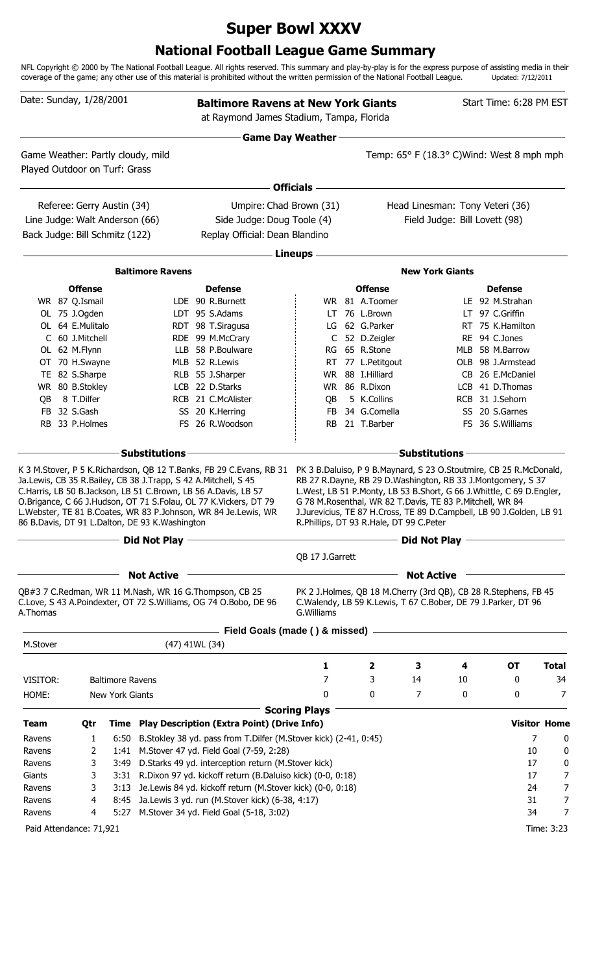# **Super Bowl XXXV**

## **National Football League Game Summary**

NFL Copyright © 2000 by The National Football League. All rights reserved. This summary and play-by-play is for the express purpose of assisting media in their coverage of the game; any other use of this material is prohibited without the written permission of the National Football League. Updated: 7/12/2011

|                  | Date: Sunday, 1/28/2001          |                         |                                                                | <b>Baltimore Ravens at New York Giants</b><br>at Raymond James Stadium, Tampa, Florida                                                                                                                                                                                                                                                        |                           |                                                                                                     |                        |    | Start Time: 6:28 PM EST                                                                                                                                                                                                                                                                |                     |
|------------------|----------------------------------|-------------------------|----------------------------------------------------------------|-----------------------------------------------------------------------------------------------------------------------------------------------------------------------------------------------------------------------------------------------------------------------------------------------------------------------------------------------|---------------------------|-----------------------------------------------------------------------------------------------------|------------------------|----|----------------------------------------------------------------------------------------------------------------------------------------------------------------------------------------------------------------------------------------------------------------------------------------|---------------------|
|                  |                                  |                         |                                                                |                                                                                                                                                                                                                                                                                                                                               | <b>Game Day Weather</b>   |                                                                                                     |                        |    |                                                                                                                                                                                                                                                                                        |                     |
|                  | Played Outdoor on Turf: Grass    |                         | Game Weather: Partly cloudy, mild                              |                                                                                                                                                                                                                                                                                                                                               |                           |                                                                                                     |                        |    | Temp: 65° F (18.3° C)Wind: West 8 mph mph                                                                                                                                                                                                                                              |                     |
|                  |                                  |                         |                                                                |                                                                                                                                                                                                                                                                                                                                               | <b>Officials</b>          |                                                                                                     |                        |    |                                                                                                                                                                                                                                                                                        |                     |
|                  | Referee: Gerry Austin (34)       |                         |                                                                |                                                                                                                                                                                                                                                                                                                                               | Umpire: Chad Brown (31)   |                                                                                                     |                        |    | Head Linesman: Tony Veteri (36)                                                                                                                                                                                                                                                        |                     |
|                  | Line Judge: Walt Anderson (66)   |                         |                                                                | Side Judge: Doug Toole (4)                                                                                                                                                                                                                                                                                                                    |                           |                                                                                                     |                        |    | Field Judge: Bill Lovett (98)                                                                                                                                                                                                                                                          |                     |
|                  | Back Judge: Bill Schmitz (122)   |                         |                                                                | Replay Official: Dean Blandino                                                                                                                                                                                                                                                                                                                |                           |                                                                                                     |                        |    |                                                                                                                                                                                                                                                                                        |                     |
|                  |                                  |                         |                                                                |                                                                                                                                                                                                                                                                                                                                               |                           |                                                                                                     |                        |    |                                                                                                                                                                                                                                                                                        |                     |
|                  |                                  |                         | <b>Baltimore Ravens</b>                                        |                                                                                                                                                                                                                                                                                                                                               | Lineups -                 |                                                                                                     | <b>New York Giants</b> |    |                                                                                                                                                                                                                                                                                        |                     |
|                  |                                  |                         |                                                                |                                                                                                                                                                                                                                                                                                                                               |                           |                                                                                                     |                        |    |                                                                                                                                                                                                                                                                                        |                     |
|                  | <b>Offense</b><br>WR 87 Q.Ismail |                         |                                                                | <b>Defense</b><br>LDE 90 R.Burnett                                                                                                                                                                                                                                                                                                            |                           | <b>Offense</b><br>WR 81 A.Toomer                                                                    |                        |    | <b>Defense</b><br>LE 92 M.Strahan                                                                                                                                                                                                                                                      |                     |
|                  | OL 75 J.Ogden                    |                         |                                                                | LDT 95 S.Adams                                                                                                                                                                                                                                                                                                                                |                           | LT 76 L.Brown                                                                                       |                        |    | LT 97 C.Griffin                                                                                                                                                                                                                                                                        |                     |
|                  | OL 64 E.Mulitalo                 |                         |                                                                | RDT 98 T.Siragusa                                                                                                                                                                                                                                                                                                                             |                           | LG 62 G.Parker                                                                                      |                        |    | RT 75 K.Hamilton                                                                                                                                                                                                                                                                       |                     |
|                  | C 60 J.Mitchell                  |                         |                                                                | RDE 99 M.McCrary                                                                                                                                                                                                                                                                                                                              | $\mathsf{C}^-$            | 52 D.Zeigler                                                                                        |                        |    | RE 94 C.Jones                                                                                                                                                                                                                                                                          |                     |
|                  | OL 62 M.Flynn                    |                         |                                                                | LLB 58 P.Boulware                                                                                                                                                                                                                                                                                                                             |                           | RG 65 R.Stone                                                                                       |                        |    | MLB 58 M.Barrow                                                                                                                                                                                                                                                                        |                     |
|                  | OT 70 H.Swayne                   |                         |                                                                | MLB 52 R.Lewis                                                                                                                                                                                                                                                                                                                                |                           | RT 77 L.Petitgout                                                                                   |                        |    | OLB 98 J.Armstead                                                                                                                                                                                                                                                                      |                     |
|                  | TE 82 S.Sharpe                   |                         |                                                                | RLB 55 J.Sharper                                                                                                                                                                                                                                                                                                                              | <b>WR</b>                 | 88 I.Hilliard                                                                                       |                        |    | CB 26 E.McDaniel                                                                                                                                                                                                                                                                       |                     |
| QB               | WR 80 B.Stokley<br>8 T.Dilfer    |                         |                                                                | LCB 22 D.Starks<br>RCB 21 C.McAlister                                                                                                                                                                                                                                                                                                         | <b>WR</b><br>QB           | 86 R.Dixon<br>5 K.Collins                                                                           |                        |    | LCB 41 D.Thomas<br>RCB 31 J.Sehorn                                                                                                                                                                                                                                                     |                     |
|                  | FB 32 S.Gash                     |                         |                                                                | SS 20 K.Herring                                                                                                                                                                                                                                                                                                                               | <b>FB</b>                 | 34 G.Comella                                                                                        |                        |    | SS 20 S.Garnes                                                                                                                                                                                                                                                                         |                     |
|                  | RB 33 P.Holmes                   |                         |                                                                | FS 26 R.Woodson                                                                                                                                                                                                                                                                                                                               | <b>RB</b>                 | 21 T.Barber                                                                                         |                        |    | FS 36 S.Williams                                                                                                                                                                                                                                                                       |                     |
|                  |                                  |                         |                                                                |                                                                                                                                                                                                                                                                                                                                               |                           |                                                                                                     |                        |    |                                                                                                                                                                                                                                                                                        |                     |
|                  |                                  |                         | <b>Substitutions</b>                                           |                                                                                                                                                                                                                                                                                                                                               |                           |                                                                                                     | <b>Substitutions</b>   |    |                                                                                                                                                                                                                                                                                        |                     |
|                  |                                  |                         | 86 B.Davis, DT 91 L.Dalton, DE 93 K.Washington<br>Did Not Play | K 3 M.Stover, P 5 K.Richardson, QB 12 T.Banks, FB 29 C.Evans, RB 31<br>Ja.Lewis, CB 35 R.Bailey, CB 38 J.Trapp, S 42 A.Mitchell, S 45<br>C.Harris, LB 50 B.Jackson, LB 51 C.Brown, LB 56 A.Davis, LB 57<br>O.Brigance, C 66 J.Hudson, OT 71 S.Folau, OL 77 K.Vickers, DT 79<br>L.Webster, TE 81 B.Coates, WR 83 P.Johnson, WR 84 Je.Lewis, WR |                           | G 78 M.Rosenthal, WR 82 T.Davis, TE 83 P.Mitchell, WR 84<br>R.Phillips, DT 93 R.Hale, DT 99 C.Peter | <b>Did Not Play</b>    |    | PK 3 B.Daluiso, P 9 B.Maynard, S 23 O.Stoutmire, CB 25 R.McDonald,<br>RB 27 R.Dayne, RB 29 D.Washington, RB 33 J.Montgomery, S 37<br>L. West, LB 51 P. Monty, LB 53 B. Short, G 66 J. Whittle, C 69 D. Engler,<br>J.Jurevicius, TE 87 H.Cross, TE 89 D.Campbell, LB 90 J.Golden, LB 91 |                     |
|                  |                                  |                         |                                                                |                                                                                                                                                                                                                                                                                                                                               | QB 17 J.Garrett           |                                                                                                     |                        |    |                                                                                                                                                                                                                                                                                        |                     |
|                  |                                  |                         | <b>Not Active</b>                                              |                                                                                                                                                                                                                                                                                                                                               |                           |                                                                                                     | <b>Not Active</b>      |    |                                                                                                                                                                                                                                                                                        |                     |
| A.Thomas         |                                  |                         |                                                                | QB#3 7 C.Redman, WR 11 M.Nash, WR 16 G.Thompson, CB 25<br>C.Love, S 43 A.Poindexter, OT 72 S.Williams, OG 74 O.Bobo, DE 96                                                                                                                                                                                                                    | G. Williams               |                                                                                                     |                        |    | PK 2 J.Holmes, QB 18 M.Cherry (3rd QB), CB 28 R.Stephens, FB 45<br>C.Walendy, LB 59 K.Lewis, T 67 C.Bober, DE 79 J.Parker, DT 96                                                                                                                                                       |                     |
|                  |                                  |                         |                                                                | Field Goals (made () & missed) -                                                                                                                                                                                                                                                                                                              |                           |                                                                                                     |                        |    |                                                                                                                                                                                                                                                                                        |                     |
| M.Stover         |                                  |                         |                                                                | (47) 41WL (34)                                                                                                                                                                                                                                                                                                                                |                           |                                                                                                     |                        |    |                                                                                                                                                                                                                                                                                        |                     |
|                  |                                  |                         |                                                                |                                                                                                                                                                                                                                                                                                                                               | 1                         | $\mathbf{2}$                                                                                        | 3                      | 4  | <b>OT</b>                                                                                                                                                                                                                                                                              | <b>Total</b>        |
| VISITOR:         |                                  | <b>Baltimore Ravens</b> |                                                                |                                                                                                                                                                                                                                                                                                                                               | 7                         | 3                                                                                                   | 14                     | 10 | 0                                                                                                                                                                                                                                                                                      | 34                  |
| HOME:            |                                  | New York Giants         |                                                                |                                                                                                                                                                                                                                                                                                                                               | 0<br><b>Scoring Plays</b> | 0                                                                                                   | 7                      | 0  | 0                                                                                                                                                                                                                                                                                      | 7                   |
| <b>Team</b>      | Qtr                              |                         |                                                                | Time Play Description (Extra Point) (Drive Info)                                                                                                                                                                                                                                                                                              |                           |                                                                                                     |                        |    |                                                                                                                                                                                                                                                                                        | <b>Visitor Home</b> |
| Ravens           |                                  | 1                       |                                                                | 6:50 B.Stokley 38 yd. pass from T.Dilfer (M.Stover kick) (2-41, 0:45)                                                                                                                                                                                                                                                                         |                           |                                                                                                     |                        |    |                                                                                                                                                                                                                                                                                        | 7<br>0              |
| Ravens           |                                  | 2                       |                                                                | 1:41 M.Stover 47 yd. Field Goal (7-59, 2:28)                                                                                                                                                                                                                                                                                                  |                           |                                                                                                     |                        |    |                                                                                                                                                                                                                                                                                        | 10<br>$\bf{0}$      |
| Ravens           |                                  | 3<br>3:49               |                                                                | D.Starks 49 yd. interception return (M.Stover kick)                                                                                                                                                                                                                                                                                           |                           |                                                                                                     |                        |    |                                                                                                                                                                                                                                                                                        | 17<br>0             |
| Giants           |                                  | 3                       |                                                                | 3:31 R.Dixon 97 yd. kickoff return (B.Daluiso kick) (0-0, 0:18)                                                                                                                                                                                                                                                                               |                           |                                                                                                     |                        |    |                                                                                                                                                                                                                                                                                        | 17<br>7             |
| Ravens           |                                  | 3<br>3:13               |                                                                | Je.Lewis 84 yd. kickoff return (M.Stover kick) (0-0, 0:18)                                                                                                                                                                                                                                                                                    |                           |                                                                                                     |                        |    |                                                                                                                                                                                                                                                                                        | 7<br>24             |
| Ravens<br>Ravens |                                  | 4<br>4<br>5:27          |                                                                | 8:45 Ja.Lewis 3 yd. run (M.Stover kick) (6-38, 4:17)                                                                                                                                                                                                                                                                                          |                           |                                                                                                     |                        |    |                                                                                                                                                                                                                                                                                        | 31<br>7<br>34<br>7  |
|                  |                                  |                         |                                                                | M.Stover 34 yd. Field Goal (5-18, 3:02)                                                                                                                                                                                                                                                                                                       |                           |                                                                                                     |                        |    |                                                                                                                                                                                                                                                                                        |                     |
|                  | Paid Attendance: 71,921          |                         |                                                                |                                                                                                                                                                                                                                                                                                                                               |                           |                                                                                                     |                        |    |                                                                                                                                                                                                                                                                                        | Time: 3:23          |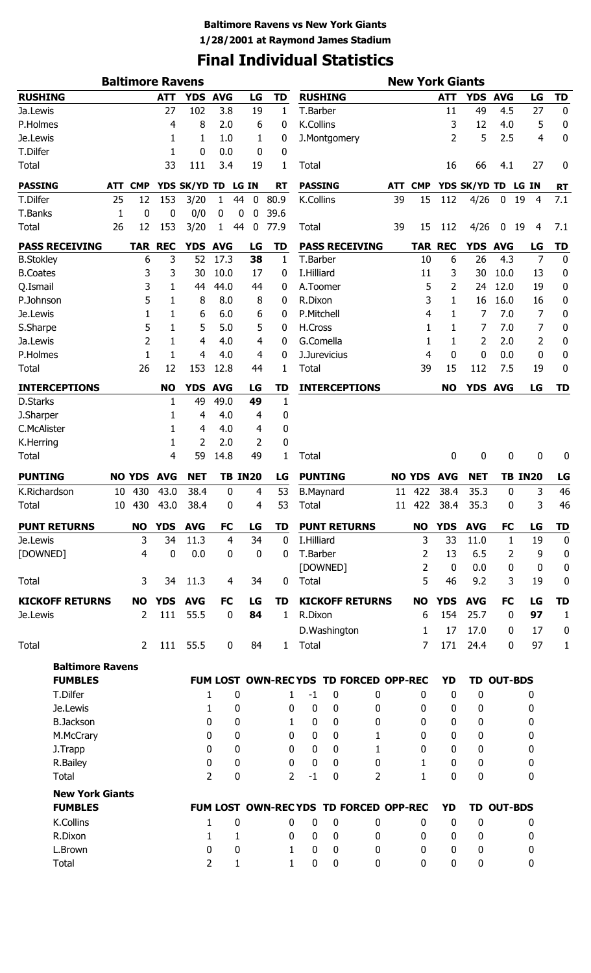# **Final Individual Statistics**

|                                          |     |                | <b>Baltimore Ravens</b> |                |                  |                   |              |                        |                  |                                       |        |                | <b>New York Giants</b> |                  |                   |                |                  |
|------------------------------------------|-----|----------------|-------------------------|----------------|------------------|-------------------|--------------|------------------------|------------------|---------------------------------------|--------|----------------|------------------------|------------------|-------------------|----------------|------------------|
| <b>RUSHING</b>                           |     |                | <b>ATT</b>              | <b>YDS</b>     | <b>AVG</b>       | LG                | <b>TD</b>    |                        | <b>RUSHING</b>   |                                       |        |                | <b>ATT</b>             | YDS AVG          |                   | LG             | <b>TD</b>        |
| Ja.Lewis                                 |     |                | 27                      | 102            | 3.8              | 19                | 1            | T.Barber               |                  |                                       |        |                | 11                     | 49               | 4.5               | 27             | 0                |
| P.Holmes                                 |     |                | 4                       | 8              | 2.0              | 6                 | 0            | K.Collins              |                  |                                       |        |                | 3                      | 12               | 4.0               | 5              | $\pmb{0}$        |
| Je.Lewis                                 |     |                | 1                       | 1              | 1.0              | 1                 | 0            |                        | J.Montgomery     |                                       |        |                | $\overline{2}$         | 5                | 2.5               | 4              | 0                |
| T.Dilfer                                 |     |                | 1                       | 0              | 0.0              | 0                 | 0            |                        |                  |                                       |        |                |                        |                  |                   |                |                  |
| <b>Total</b>                             |     |                | 33                      | 111            | 3.4              | 19                | 1            | <b>Total</b>           |                  |                                       |        |                | 16                     | 66               | 4.1               | 27             | 0                |
| <b>PASSING</b>                           | ATT | <b>CMP</b>     |                         | YDS SK/YD TD   |                  | LG IN             | <b>RT</b>    |                        | <b>PASSING</b>   |                                       | ATT    | <b>CMP</b>     |                        | YDS SK/YD TD     |                   | LG IN          | <b>RT</b>        |
| T.Dilfer                                 | 25  | 12             | 153                     | 3/20           | 1                | $\mathbf 0$<br>44 | 80.9         | K.Collins              |                  |                                       | 39     | 15             | 112                    | 4/26             | $\boldsymbol{0}$  | 19<br>4        | 7.1              |
| T.Banks                                  | 1   | 0              | $\bf{0}$                | 0/0            | 0                | 0<br>0            | 39.6         |                        |                  |                                       |        |                |                        |                  |                   |                |                  |
| <b>Total</b>                             | 26  | 12             | 153                     | 3/20           | 1                | 44<br>0           | 77.9         | <b>Total</b>           |                  |                                       | 39     | 15             | 112                    | 4/26             | 0                 | 19<br>4        | 7.1              |
| <b>PASS RECEIVING</b>                    |     |                | <b>TAR REC</b>          | YDS AVG        |                  | LG                | TD           |                        |                  | <b>PASS RECEIVING</b>                 |        |                | <b>TAR REC</b>         | YDS AVG          |                   | LG             | TD               |
| <b>B.Stokley</b>                         |     | 6              | 3                       | 52             | 17.3             | 38                | $\mathbf{1}$ | T.Barber               |                  |                                       |        | 10             | 6                      | 26               | 4.3               | $\overline{7}$ | $\bf{0}$         |
| <b>B.Coates</b>                          |     | 3              | 3                       | 30             | 10.0             | 17                | 0            | I.Hilliard             |                  |                                       |        | 11             | 3                      | 30               | 10.0              | 13             | 0                |
| Q.Ismail                                 |     | 3              | 1                       | 44             | 44.0             | 44                | 0            |                        | A.Toomer         |                                       |        | 5              | 2                      | 24               | 12.0              | 19             | 0                |
| P.Johnson                                |     | 5              | 1                       | 8              | 8.0              | 8                 | 0            | R.Dixon                |                  |                                       |        | 3              | 1                      | 16               | 16.0              | 16             | 0                |
| Je.Lewis                                 |     | 1              | 1                       | 6              | 6.0              | 6                 | 0            |                        | P.Mitchell       |                                       |        | 4              | 1                      | 7                | 7.0               | 7              | 0                |
| S.Sharpe                                 |     | 5              | 1                       | 5              | 5.0              | 5                 | 0            | H.Cross                |                  |                                       |        | 1              | 1                      | 7                | 7.0               | 7              | 0                |
| Ja.Lewis                                 |     | $\overline{2}$ | 1                       | 4              | 4.0              | 4                 | 0            |                        | G.Comella        |                                       |        | 1              | 1                      | 2                | 2.0               | $\overline{2}$ | 0                |
| P.Holmes                                 |     | 1              | 1                       | 4              | 4.0              | 4                 | 0            |                        | J.Jurevicius     |                                       |        | 4              | $\mathbf{0}$           | 0                | 0.0               | 0              | 0                |
| <b>Total</b>                             |     | 26             | 12                      | 153            | 12.8             | 44                | 1            | <b>Total</b>           |                  |                                       |        | 39             | 15                     | 112              | 7.5               | 19             | 0                |
| <b>INTERCEPTIONS</b>                     |     |                | <b>NO</b>               | <b>YDS</b>     | <b>AVG</b>       | LG                | <b>TD</b>    |                        |                  | <b>INTERCEPTIONS</b>                  |        |                | <b>NO</b>              | YDS AVG          |                   | LG             | <b>TD</b>        |
| D.Starks                                 |     |                | 1                       | 49             | 49.0             | 49                | 1            |                        |                  |                                       |        |                |                        |                  |                   |                |                  |
| J.Sharper                                |     |                | 1                       | 4              | 4.0              | 4                 | 0            |                        |                  |                                       |        |                |                        |                  |                   |                |                  |
| C.McAlister                              |     |                | 1                       | 4              | 4.0              | 4                 | 0            |                        |                  |                                       |        |                |                        |                  |                   |                |                  |
| K.Herring                                |     |                | 1                       | $\overline{2}$ | 2.0              | 2                 | 0            |                        |                  |                                       |        |                |                        |                  |                   |                |                  |
| Total                                    |     |                | 4                       | 59             | 14.8             | 49                | 1            | <b>Total</b>           |                  |                                       |        |                | 0                      | 0                | 0                 | 0              | 0                |
| <b>PUNTING</b>                           |     | <b>NO YDS</b>  | <b>AVG</b>              | <b>NET</b>     |                  | <b>TB IN20</b>    | LG           |                        | <b>PUNTING</b>   |                                       |        | <b>NO YDS</b>  | <b>AVG</b>             | <b>NET</b>       |                   | <b>TB IN20</b> | LG               |
| K.Richardson                             | 10  | 430            | 43.0                    | 38.4           | $\boldsymbol{0}$ | 4                 | 53           |                        | <b>B.Maynard</b> |                                       | 11     | 422            | 38.4                   | 35.3             | $\bf{0}$          | 3              | 46               |
| <b>Total</b>                             | 10  | 430            | 43.0                    | 38.4           | 0                | 4                 | 53           | Total                  |                  |                                       | $11\,$ | 422            | 38.4                   | 35.3             | 0                 | 3              | 46               |
| <b>PUNT RETURNS</b>                      |     | <b>NO</b>      | <b>YDS</b>              | <b>AVG</b>     | <b>FC</b>        | LG                | TD           |                        |                  | <b>PUNT RETURNS</b>                   |        | <b>NO</b>      | <b>YDS</b>             | <b>AVG</b>       | <b>FC</b>         | LG             | <b>TD</b>        |
| Je.Lewis                                 |     | 3              | 34                      | 11.3           | 4                | 34                | $\mathbf 0$  | I.Hilliard             |                  |                                       |        | 3              | 33                     | 11.0             | 1                 | 19             | $\mathbf 0$      |
| [DOWNED]                                 |     | 4              | $\mathbf 0$             | 0.0            | 0                | $\boldsymbol{0}$  | 0            | T.Barber               |                  |                                       |        | 2              | 13                     | 6.5              | 2                 | 9              | 0                |
|                                          |     |                |                         |                |                  |                   |              |                        | [DOWNED]         |                                       |        | $\overline{2}$ | $\mathbf 0$            | 0.0              | 0                 | $\mathbf 0$    | $\boldsymbol{0}$ |
| Total                                    |     | 3              | 34                      | 11.3           | 4                | 34                | $\mathbf 0$  | <b>Total</b>           |                  |                                       |        | 5              | 46                     | 9.2              | 3                 | 19             | 0                |
| <b>KICKOFF RETURNS</b>                   |     | <b>NO</b>      | <b>YDS</b>              | <b>AVG</b>     | <b>FC</b>        | LG                | TD           |                        |                  | <b>KICKOFF RETURNS</b>                |        | <b>NO</b>      | <b>YDS</b>             | <b>AVG</b>       | <b>FC</b>         | LG             | <b>TD</b>        |
| Je.Lewis                                 |     | 2              | 111                     | 55.5           | $\mathbf 0$      | 84                | $\mathbf{1}$ | R.Dixon                |                  |                                       |        | 6              | 154                    | 25.7             | $\mathbf 0$       | 97             | $\mathbf{1}$     |
|                                          |     |                |                         |                |                  |                   |              |                        | D.Washington     |                                       |        | 1              | 17                     | 17.0             | $\mathbf{0}$      | 17             | $\boldsymbol{0}$ |
| <b>Total</b>                             |     | $\overline{2}$ | 111                     | 55.5           | $\mathbf 0$      | 84                |              | 1 Total                |                  |                                       |        | 7              | 171                    | 24.4             | 0                 | 97             | $\mathbf 1$      |
| <b>Baltimore Ravens</b>                  |     |                |                         |                |                  |                   |              |                        |                  |                                       |        |                |                        |                  |                   |                |                  |
| <b>FUMBLES</b>                           |     |                |                         |                |                  |                   |              |                        |                  | FUM LOST OWN-RECYDS TD FORCED OPP-REC |        |                | <b>YD</b>              |                  | <b>TD OUT-BDS</b> |                |                  |
| T.Dilfer                                 |     |                |                         |                | 1                | $\bf{0}$          |              | $-1$<br>1              | 0                | 0                                     |        | 0              | 0                      | 0                |                   | 0              |                  |
| Je.Lewis                                 |     |                |                         |                | 1                | 0                 | 0            | 0                      | 0                | 0                                     |        | 0              | 0                      | 0                |                   | 0              |                  |
| <b>B.Jackson</b>                         |     |                |                         |                | 0                | 0                 | 1            | $\bf{0}$               | 0                | 0                                     |        | 0              | 0                      | 0                |                   | 0              |                  |
| M.McCrary                                |     |                |                         |                | 0                | 0                 | 0            | 0                      | 0                | 1                                     |        | 0              | 0                      | 0                |                   | 0              |                  |
| J.Trapp                                  |     |                |                         |                | 0                | 0                 | 0            | 0                      | $\Omega$         | 1                                     |        | 0              | $\Omega$               | $\mathbf 0$      |                   | 0              |                  |
| R.Bailey                                 |     |                |                         |                | 0                | 0                 | 0            | 0                      | $\Omega$         | 0                                     |        | 1              | $\Omega$               | 0                |                   | 0              |                  |
| Total                                    |     |                |                         |                | $\overline{2}$   | 0                 |              | $\overline{2}$<br>$-1$ | 0                | $\overline{2}$                        |        | 1              | 0                      | 0                |                   | 0              |                  |
|                                          |     |                |                         |                |                  |                   |              |                        |                  |                                       |        |                |                        |                  |                   |                |                  |
| <b>New York Giants</b><br><b>FUMBLES</b> |     |                |                         |                |                  |                   |              |                        |                  | FUM LOST OWN-RECYDS TD FORCED OPP-REC |        |                | <b>YD</b>              |                  | <b>TD OUT-BDS</b> |                |                  |
| K.Collins                                |     |                |                         |                | 1                | $\bf{0}$          | 0            | 0                      | 0                | 0                                     |        | 0              | $\mathbf 0$            | $\boldsymbol{0}$ |                   | 0              |                  |
| R.Dixon                                  |     |                |                         |                | 1                | 1                 | 0            | 0                      | 0                | 0                                     |        | 0              | 0                      | 0                |                   | 0              |                  |
| L.Brown                                  |     |                |                         |                | 0                | 0                 | 1            | $\bf{0}$               | 0                | 0                                     |        | 0              | 0                      | 0                |                   | 0              |                  |
| Total                                    |     |                |                         |                | 2                | 1                 | 1            | $\pmb{0}$              | 0                | 0                                     |        | 0              | 0                      | 0                |                   | 0              |                  |
|                                          |     |                |                         |                |                  |                   |              |                        |                  |                                       |        |                |                        |                  |                   |                |                  |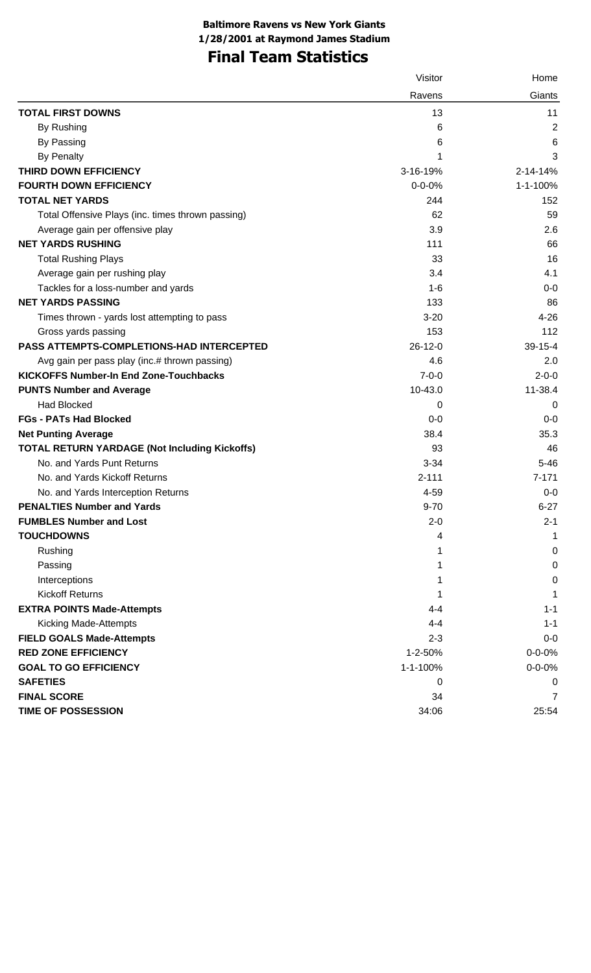## **Final Team Statistics**

|                                                      | Visitor      | Home           |
|------------------------------------------------------|--------------|----------------|
|                                                      | Ravens       | Giants         |
| <b>TOTAL FIRST DOWNS</b>                             | 13           | 11             |
| By Rushing                                           | 6            | $\overline{2}$ |
| By Passing                                           | 6            | 6              |
| <b>By Penalty</b>                                    | 1            | 3              |
| THIRD DOWN EFFICIENCY                                | 3-16-19%     | 2-14-14%       |
| <b>FOURTH DOWN EFFICIENCY</b>                        | $0 - 0 - 0%$ | 1-1-100%       |
| <b>TOTAL NET YARDS</b>                               | 244          | 152            |
| Total Offensive Plays (inc. times thrown passing)    | 62           | 59             |
| Average gain per offensive play                      | 3.9          | 2.6            |
| <b>NET YARDS RUSHING</b>                             | 111          | 66             |
| <b>Total Rushing Plays</b>                           | 33           | 16             |
| Average gain per rushing play                        | 3.4          | 4.1            |
| Tackles for a loss-number and yards                  | $1 - 6$      | $0-0$          |
| <b>NET YARDS PASSING</b>                             | 133          | 86             |
| Times thrown - yards lost attempting to pass         | $3 - 20$     | $4 - 26$       |
| Gross yards passing                                  | 153          | 112            |
| PASS ATTEMPTS-COMPLETIONS-HAD INTERCEPTED            | $26-12-0$    | $39 - 15 - 4$  |
| Avg gain per pass play (inc.# thrown passing)        | 4.6          | 2.0            |
| <b>KICKOFFS Number-In End Zone-Touchbacks</b>        | $7 - 0 - 0$  | $2 - 0 - 0$    |
| <b>PUNTS Number and Average</b>                      | 10-43.0      | 11-38.4        |
| <b>Had Blocked</b>                                   | 0            | 0              |
| <b>FGs - PATs Had Blocked</b>                        | $0-0$        | $0-0$          |
| <b>Net Punting Average</b>                           | 38.4         | 35.3           |
| <b>TOTAL RETURN YARDAGE (Not Including Kickoffs)</b> | 93           | 46             |
| No. and Yards Punt Returns                           | $3 - 34$     | $5 - 46$       |
| No. and Yards Kickoff Returns                        | $2 - 111$    | $7 - 171$      |
| No. and Yards Interception Returns                   | 4-59         | $0-0$          |
| <b>PENALTIES Number and Yards</b>                    | $9 - 70$     | $6 - 27$       |
| <b>FUMBLES Number and Lost</b>                       | $2 - 0$      | $2 - 1$        |
| <b>TOUCHDOWNS</b>                                    | 4            | 1              |
| Rushing                                              | 1            | 0              |
| Passing                                              | 1            | 0              |
| Interceptions                                        | 1            | 0              |
| <b>Kickoff Returns</b>                               | 1            | 1              |
| <b>EXTRA POINTS Made-Attempts</b>                    | 4-4          | $1 - 1$        |
| <b>Kicking Made-Attempts</b>                         | $4 - 4$      | $1 - 1$        |
| <b>FIELD GOALS Made-Attempts</b>                     | $2 - 3$      | $0-0$          |
| <b>RED ZONE EFFICIENCY</b>                           | 1-2-50%      | $0 - 0 - 0%$   |
| <b>GOAL TO GO EFFICIENCY</b>                         | 1-1-100%     | $0 - 0 - 0%$   |
| <b>SAFETIES</b>                                      | 0            | 0              |
| <b>FINAL SCORE</b>                                   | 34           | 7              |
| <b>TIME OF POSSESSION</b>                            | 34:06        | 25:54          |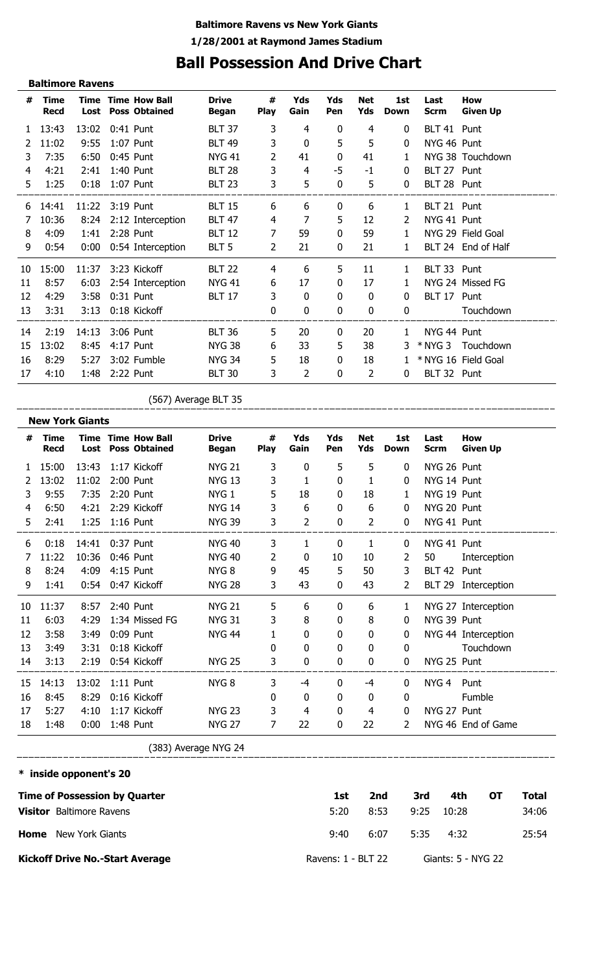## **Ball Possession And Drive Chart**

|    | <b>Baltimore Ravens</b>    |                 |                                                   |                              |                  |             |             |                   |                    |                     |                               |
|----|----------------------------|-----------------|---------------------------------------------------|------------------------------|------------------|-------------|-------------|-------------------|--------------------|---------------------|-------------------------------|
| #  | <b>Time</b><br><b>Recd</b> | Lost            | <b>Time Time How Ball</b><br><b>Poss Obtained</b> | <b>Drive</b><br><b>Began</b> | #<br><b>Play</b> | Yds<br>Gain | Yds<br>Pen  | <b>Net</b><br>Yds | 1st<br><b>Down</b> | Last<br><b>Scrm</b> | <b>How</b><br><b>Given Up</b> |
| 1  | 13:43                      | 13:02           | 0:41 Punt                                         | <b>BLT 37</b>                | 3                | 4           | 0           | 4                 | $\bf{0}$           | BLT 41 Punt         |                               |
|    | 11:02                      | 9:55            | 1:07 Punt                                         | <b>BLT 49</b>                | 3                | 0           | 5           | 5                 | $\mathbf{0}$       | NYG 46 Punt         |                               |
| 3  | 7:35                       | 6:50            | 0:45 Punt                                         | <b>NYG 41</b>                | 2                | 41          | $\bf{0}$    | 41                | 1                  |                     | NYG 38 Touchdown              |
| 4  | 4:21                       | 2:41            | 1:40 Punt                                         | <b>BLT 28</b>                | 3                | 4           | $-5$        | $-1$              | $\bf{0}$           | BLT 27 Punt         |                               |
| 5. | 1:25                       | 0:18            | 1:07 Punt                                         | <b>BLT 23</b>                | 3                | 5           | 0           | 5                 | $\mathbf{0}$       | BLT 28 Punt         |                               |
| 6  | 14:41                      | 11:22 3:19 Punt |                                                   | <b>BLT 15</b>                | 6                | 6           | $\mathbf 0$ | 6                 | 1                  | BLT 21 Punt         |                               |
|    | 10:36                      | 8:24            | 2:12 Interception                                 | <b>BLT 47</b>                | 4                | 7           | 5           | 12                | 2                  | NYG 41 Punt         |                               |
| 8  | 4:09                       | 1:41            | 2:28 Punt                                         | <b>BLT 12</b>                | 7                | 59          | $\mathbf 0$ | 59                | $\mathbf{1}$       |                     | NYG 29 Field Goal             |
| 9  | 0:54                       | 0:00            | 0:54 Interception                                 | BLT <sub>5</sub>             | 2                | 21          | $\bf{0}$    | 21                | 1                  |                     | BLT 24 End of Half            |
| 10 | 15:00                      | 11:37           | 3:23 Kickoff                                      | <b>BLT 22</b>                | 4                | 6           | 5           | 11                | $\mathbf{1}$       | BLT 33 Punt         |                               |
| 11 | 8:57                       | 6:03            | 2:54 Interception                                 | <b>NYG 41</b>                | 6                | 17          | $\bf{0}$    | 17                | $\mathbf{1}$       |                     | NYG 24 Missed FG              |
| 12 | 4:29                       | 3:58            | 0:31 Punt                                         | <b>BLT 17</b>                | 3                | 0           | 0           | 0                 | $\Omega$           | BLT 17 Punt         |                               |
| 13 | 3:31                       | 3:13            | 0:18 Kickoff                                      |                              | 0                | 0           | 0           | 0                 | $\mathbf{0}$       |                     | Touchdown                     |
| 14 | 2:19                       | 14:13           | 3:06 Punt                                         | <b>BLT 36</b>                | 5                | 20          | $\bf{0}$    | 20                | $\mathbf{1}$       | NYG 44 Punt         |                               |
| 15 | 13:02                      | 8:45            | 4:17 Punt                                         | <b>NYG 38</b>                | 6                | 33          | 5           | 38                | 3.                 |                     | * NYG 3 Touchdown             |
| 16 | 8:29                       | 5:27            | 3:02 Fumble                                       | <b>NYG 34</b>                | 5                | 18          | $\bf{0}$    | 18                |                    |                     | * NYG 16 Field Goal           |
| 17 | 4:10                       | 1:48            | 2:22 Punt                                         | <b>BLT 30</b>                | 3                | 2           | 0           | 2                 | 0                  | BLT 32 Punt         |                               |

(567) Average BLT 35

**New York Giants Time Yds Yds # Drive # Net 1st Last How Time Time How Ball Play Given Up Recd Lost Poss Obtained Began Gain Pen Yds Down Scrm** 1 15:00 13:43 1:17 Kickoff NYG 21 3 0 5 5 0 NYG 26 Punt 2 13:02 11:02 2:00 Punt NYG 13 3 1 0 1 0 NYG 14 Punt 3 9:55 7:35 2:20 Punt NYG 1 5 18 0 18 1 NYG 19 Punt 4 6:50 4:21 2:29 Kickoff NYG 14 3 6 0 6 0 NYG 20 Punt 5 2:41 1:25 1:16 Punt NYG 39 3 2 0 2 0 NYG 41 Punt 6 0:18 14:41 0:37 Punt NYG 40 3 1 0 1 0 NYG 41 Punt 7 11:22 10:36 0:46 Punt NYG 40 2 0 10 10 2 50 Interception 8 8:24 4:09 4:15 Punt NYG 8 9 45 5 50 3 BLT 42 Punt 9 1:41 0:54 0:47 Kickoff NYG 28 3 43 0 43 2 BLT 29 Interception 10 11:37 8:57 2:40 Punt NYG 21 5 6 0 6 1 NYG 27 Interception 11 6:03 4:29 1:34 Missed FG NYG 31 3 8 0 8 0 NYG 39 Punt 12 3:58 3:49 0:09 Punt NYG 44 1 0 0 0 0 NYG 44 Interception 13 3:49 3:31 0:18 Kickoff 0 0 0 0 0 Touchdown 14 3:13 2:19 0:54 Kickoff NYG 25 3 0 0 0 0 NYG 25 Punt  $-$ 15 14:13 13:02 1:11 Punt NYG 8 3 -4 0 -4 0 NYG 4 Punt 16 8:45 8:29 0:16 Kickoff 0 0 0 0 0 Fumble 17 5:27 4:10 1:17 Kickoff NYG 23 3 4 0 4 0 NYG 27 Punt 18 1:48 0:00 1:48 Punt NYG 27 7 22 0 22 2 NYG 46 End of Game (383) Average NYG 24 \_\_\_\_\_\_\_\_\_\_\_\_\_\_\_\_\_\_\_\_\_\_\_ 

**\* inside opponent's 20 Time of Possession by Quarter Home** New York Giants **Visitor** Baltimore Ravens **Kickoff Drive No.-Start Average 1st 2nd 3rd 4th OT Total** 5:20 9:40 6:07 5:35 4:32 25:54 8:53 9:25 10:28 34:06 Ravens: 1 - BLT 22 Giants: 5 - NYG 22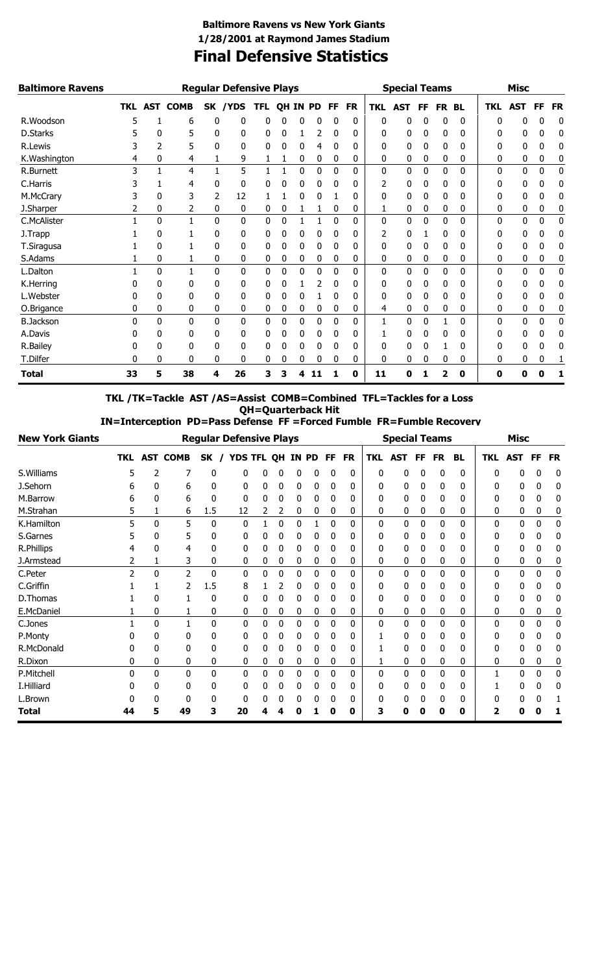### **Final Defensive Statistics Baltimore Ravens vs New York Giants 1/28/2001 at Raymond James Stadium**

| <b>Baltimore Ravens</b> |            |            |             |           | <b>Regular Defensive Plays</b> |            |    |     |           |          |           |     | <b>Special Teams</b> |    |                  |           |            | <b>Misc</b>  |              |           |
|-------------------------|------------|------------|-------------|-----------|--------------------------------|------------|----|-----|-----------|----------|-----------|-----|----------------------|----|------------------|-----------|------------|--------------|--------------|-----------|
|                         | <b>TKL</b> | <b>AST</b> | <b>COMB</b> | <b>SK</b> | <b>/YDS</b>                    | <b>TFL</b> | ΟH | ΙN. | <b>PD</b> | FF       | <b>FR</b> | TKL | AST                  | FF | <b>FR</b>        | <b>BL</b> | <b>TKL</b> | <b>AST</b>   | FF           | <b>FR</b> |
| R.Woodson               |            |            | 6           | 0         | 0                              | 0          | 0  | 0   | 0         | 0        | 0         | 0   | 0                    | 0  | 0                | 0         | 0          | 0            | 0            | 0         |
| D.Starks                |            | 0          | 5           | 0         | 0                              | 0          | 0  |     | 2         | 0        | 0         | 0   | 0                    | 0  | 0                | 0         | O          | 0            | 0            | 0         |
| R.Lewis                 |            |            | 5           | 0         | 0                              | 0          | 0  | 0   | 4         | 0        | 0         | 0   | 0                    | 0  | 0                | 0         | 0          | 0            | 0            | 0         |
| K.Washington            | 4          | 0          | 4           |           | 9                              |            | 1  | 0   | 0         | 0        | 0         | 0   | 0                    | 0  | 0                | 0         | 0          | 0            | 0            | 0         |
| R.Burnett               | 3          |            | 4           |           | 5                              |            |    | 0   | 0         | 0        | 0         | 0   | 0                    | 0  | 0                | 0         | $\Omega$   | $\mathbf{0}$ | 0            | 0         |
| C.Harris                |            |            | 4           | 0         | 0                              | 0          | 0  | 0   | 0         | 0        | 0         | 2   | 0                    | 0  | 0                | 0         | 0          | 0            | 0            | 0         |
| M.McCrary               |            | 0          | 3           | 2         | 12                             |            |    | 0   | 0         |          | 0         | 0   | 0                    | 0  | 0                | 0         | 0          | 0            | 0            | 0         |
| J.Sharper               |            | 0          | 2           | 0         | 0                              | 0          | 0  |     |           | 0        | 0         |     | 0                    | 0  | 0                | 0         | 0          | 0            | 0            | 0         |
| C.McAlister             |            | 0          | 1           | 0         | 0                              | 0          | 0  |     | 1         | $\Omega$ | 0         | 0   | 0                    | 0  | 0                | 0         | $\Omega$   | 0            | $\mathbf{0}$ | 0         |
| J.Trapp                 |            | 0          |             | 0         | 0                              | 0          | 0  | 0   | 0         | 0        | 0         | 2   | 0                    |    | 0                | 0         | 0          | 0            | 0            | 0         |
| T.Siragusa              |            | 0          |             | 0         | 0                              | 0          | 0  | 0   | 0         | 0        | 0         | 0   | 0                    | 0  | 0                | 0         | 0          | 0            | 0            | 0         |
| S.Adams                 |            | 0          |             | 0         | 0                              | 0          | 0  | 0   | 0         | 0        | 0         | 0   | 0                    | 0  | 0                | 0         | 0          | 0            | 0            | 0         |
| L.Dalton                |            | 0          |             | 0         | 0                              | 0          | 0  | 0   | 0         | 0        | 0         | 0   | 0                    | 0  | 0                | 0         | 0          | 0            | 0            | 0         |
| K.Herring               |            | 0          | 0           | 0         | 0                              | 0          | 0  |     | 2         | 0        | 0         | 0   | 0                    | 0  | 0                | 0         | 0          | 0            | 0            | 0         |
| L.Webster               |            | 0          | 0           | 0         | 0                              | 0          | 0  | 0   |           | 0        | 0         | 0   | 0                    | 0  | 0                | 0         | 0          | 0            | 0            | 0         |
| O.Brigance              | 0          | 0          | 0           | 0         | 0                              | 0          | 0  | 0   | 0         | 0        | 0         | 4   | 0                    | 0  | 0                | 0         | 0          | 0            | 0            | 0         |
| <b>B.Jackson</b>        | 0          | 0          | 0           | 0         | 0                              | 0          | 0  | 0   | 0         | 0        | 0         |     | 0                    | 0  |                  | 0         | 0          | 0            | 0            | 0         |
| A.Davis                 |            | 0          | 0           | 0         | 0                              | 0          | 0  | 0   | 0         | 0        | 0         |     | 0                    | 0  | $\boldsymbol{0}$ | 0         | 0          | 0            | 0            | 0         |
| R.Bailey                |            | 0          | 0           | 0         | 0                              | 0          | 0  | 0   | 0         | 0        | 0         | 0   | 0                    | 0  |                  | 0         | 0          | 0            | 0            | 0         |
| T.Dilfer                | O          | 0          | 0           | 0         | 0                              | 0          | 0  | 0   | 0         | 0        | 0         | 0   | 0                    | 0  | 0                | 0         | 0          | 0            | 0            |           |
| Total                   | 33         | 5          | 38          | 4         | 26                             | 3          | 3  | 4   | 11        |          | 0         | 11  | 0                    |    | $\overline{2}$   | 0         | 0          | Ω            | 0            | 1         |

**TKL /TK=Tackle AST /AS=Assist COMB=Combined TFL=Tackles for a Loss QH=Quarterback Hit**

 **IN=Interception PD=Pass Defense FF =Forced Fumble FR=Fumble Recovery**

| <b>New York Giants</b> |            |   |                 | <b>Regular Defensive Plays</b> |          |                |    |   |       |             |           |          | <b>Special Teams</b> |    |           |           |            | <b>Misc</b> |    |           |
|------------------------|------------|---|-----------------|--------------------------------|----------|----------------|----|---|-------|-------------|-----------|----------|----------------------|----|-----------|-----------|------------|-------------|----|-----------|
|                        | <b>TKL</b> |   | <b>AST COMB</b> | SK                             |          | <b>YDS TFL</b> | QH |   | IN PD | FF          | <b>FR</b> | TKL      | <b>AST</b>           | FF | <b>FR</b> | <b>BL</b> | <b>TKL</b> | <b>AST</b>  | FF | <b>FR</b> |
| S.Williams             | 5          | 2 | 7               | 0                              | 0        | 0              | 0  | 0 | 0     | 0           | 0         | $\Omega$ | 0                    | 0  | 0         | 0         | 0          | 0           | 0  | 0         |
| J.Sehorn               | h          | 0 | 6               | 0                              | 0        | 0              | 0  | 0 | 0     | 0           | 0         | 0        | 0                    | 0  | 0         | 0         | 0          | 0           | 0  | 0         |
| M.Barrow               | h          | 0 | 6               |                                | $\Omega$ | 0              | 0  | 0 | 0     |             | 0         | 0        | 0                    | 0  | 0         | 0         | 0          | 0           | Ü  | 0         |
| M.Strahan              | 5          |   | 6               | 1.5                            | 12       | 2              | 2  | 0 | 0     | 0           | 0         | 0        | 0                    | 0  | 0         | 0         | 0          | 0           | 0  | 0         |
| K.Hamilton             | 5          | 0 | 5               | 0                              | 0        |                | 0  | 0 |       | $\mathbf 0$ | 0         | 0        | 0                    | 0  | 0         | 0         | 0          | 0           | 0  | 0         |
| S.Garnes               |            | 0 | 5               | 0                              | 0        | 0              | 0  | 0 | 0     | $\mathbf 0$ | 0         | 0        | 0                    | 0  | 0         | 0         | 0          | 0           | 0  | 0         |
| R.Phillips             |            | 0 | 4               |                                | 0        | 0              | 0  | 0 | 0     | 0           | 0         | 0        | 0                    | 0  | 0         | 0         | 0          | 0           | 0  | 0         |
| J.Armstead             | 2          |   | 3               | 0                              | 0        | 0              | 0  | 0 | 0     | 0           | 0         | 0        | 0                    | 0  | 0         | 0         | 0          | 0           | 0  | 0         |
| C.Peter                | 2          | 0 | $\overline{2}$  | 0                              | 0        | 0              | 0  | 0 | 0     | $\mathbf 0$ | 0         | 0        | 0                    | 0  | 0         | 0         | 0          | 0           | 0  | 0         |
| C.Griffin              |            |   |                 | 1.5                            | 8        |                |    | 0 | 0     | 0           | 0         | 0        | 0                    | 0  | 0         | 0         | 0          |             | 0  | 0         |
| D.Thomas               |            | 0 |                 | 0                              | 0        | 0              | 0  | 0 | 0     | $\mathbf 0$ | 0         | 0        | 0                    | 0  | 0         | 0         | 0          | 0           | 0  | 0         |
| E.McDaniel             |            | 0 |                 | 0                              | 0        | 0              | 0  | 0 | 0     | 0           | 0         | 0        | 0                    | 0  | 0         | 0         | 0          | 0           | 0  | 0         |
| C.Jones                |            | 0 |                 | 0                              | 0        | 0              | 0  | 0 | 0     | $\mathbf 0$ | 0         | 0        | 0                    | 0  | 0         | 0         | 0          | 0           | 0  | 0         |
| P.Monty                |            | 0 | 0               |                                | 0        | 0              | 0  | 0 | 0     | $\mathbf 0$ | 0         |          | 0                    | 0  | 0         | 0         | 0          | 0           | 0  | 0         |
| R.McDonald             |            | 0 | 0               | 0                              | 0        | 0              | 0  | 0 | 0     | 0           | 0         |          | 0                    | 0  | 0         | 0         | 0          | 0           | 0  | 0         |
| R.Dixon                | 0          | 0 | 0               | 0                              | 0        | 0              | 0  | 0 | 0     | 0           | 0         |          | 0                    | 0  | 0         | 0         | 0          | 0           | 0  | 0         |
| P.Mitchell             | U          | 0 | 0               | 0                              | 0        | 0              | 0  | 0 | 0     | 0           | 0         | 0        | 0                    | 0  | 0         | 0         |            | 0           | 0  | 0         |
| I.Hilliard             |            | 0 | 0               |                                | 0        | N              | 0  |   | 0     | 0           | 0         | 0        | 0                    | 0  | 0         |           |            |             |    | 0         |
| L.Brown                | O          | 0 | 0               |                                | 0        | 0              | 0  |   | 0     | 0           | 0         | 0        | 0                    | 0  | 0         | 0         | 0          | 0           | 0  |           |
| <b>Total</b>           | 44         | 5 | 49              | 3                              | 20       | 4              | 4  | 0 |       | O           | 0         | 3        | 0                    | O  | O         | 0         | 2          |             |    |           |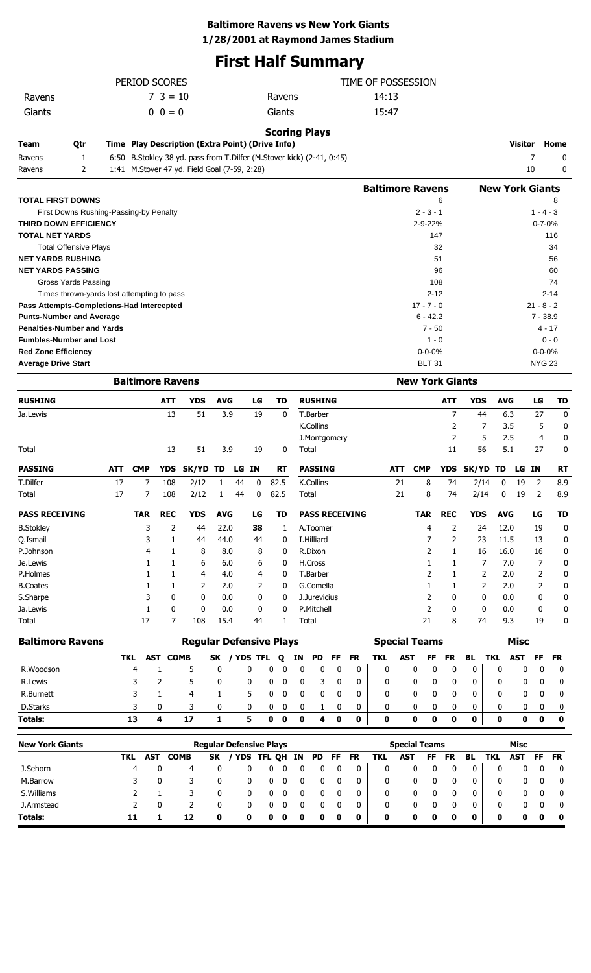### **Baltimore Ravens vs New York Giants**

**1/28/2001 at Raymond James Stadium**

# **First Half Summary**

|        | PERIOD SCORES |        | TIME OF POSSESSION |
|--------|---------------|--------|--------------------|
| Ravens | $7 \t3 = 10$  | Ravens | 14:13              |
| Giants | $0 \t 0 = 0$  | Giants | 15:47              |

|                            |                                   | <b>Scoring Plays</b>                                                     |                         |                        |               |
|----------------------------|-----------------------------------|--------------------------------------------------------------------------|-------------------------|------------------------|---------------|
| Team                       | Qtr                               | Time Play Description (Extra Point) (Drive Info)                         |                         | Visitor                | Home          |
| Ravens                     | 1                                 | 6:50 B. Stokley 38 yd. pass from T. Dilfer (M. Stover kick) (2-41, 0:45) |                         |                        | 0             |
| Ravens                     | 2                                 | 1:41 M.Stover 47 yd. Field Goal (7-59, 2:28)                             |                         | 10                     | 0             |
|                            |                                   |                                                                          | <b>Baltimore Ravens</b> | <b>New York Giants</b> |               |
|                            | <b>TOTAL FIRST DOWNS</b>          |                                                                          | 6                       |                        | 8             |
|                            |                                   | First Downs Rushing-Passing-by Penalty                                   | $2 - 3 - 1$             |                        | $1 - 4 - 3$   |
|                            | <b>THIRD DOWN EFFICIENCY</b>      |                                                                          | $2 - 9 - 22%$           |                        | $0 - 7 - 0%$  |
| <b>TOTAL NET YARDS</b>     |                                   |                                                                          | 147                     |                        | 116           |
|                            | <b>Total Offensive Plays</b>      |                                                                          | 32                      |                        | 34            |
|                            | <b>NET YARDS RUSHING</b>          |                                                                          | 51                      |                        | 56            |
|                            | <b>NET YARDS PASSING</b>          |                                                                          | 96                      |                        | 60            |
|                            | Gross Yards Passing               |                                                                          | 108                     |                        | 74            |
|                            |                                   | Times thrown-yards lost attempting to pass                               | $2 - 12$                |                        | $2 - 14$      |
|                            |                                   | Pass Attempts-Completions-Had Intercepted                                | $17 - 7 - 0$            |                        | $21 - 8 - 2$  |
|                            | <b>Punts-Number and Average</b>   |                                                                          | $6 - 42.2$              |                        | $7 - 38.9$    |
|                            | <b>Penalties-Number and Yards</b> |                                                                          | $7 - 50$                |                        | $4 - 17$      |
|                            | <b>Fumbles-Number and Lost</b>    |                                                                          | $1 - 0$                 |                        | $0 - 0$       |
| <b>Red Zone Efficiency</b> |                                   |                                                                          | $0 - 0 - 0%$            |                        | $0 - 0 - 0%$  |
| <b>Average Drive Start</b> |                                   |                                                                          | <b>BLT 31</b>           |                        | <b>NYG 23</b> |
|                            |                                   | <b>Raltimore Ravens</b>                                                  | <b>New York Giants</b>  |                        |               |

|                       |     | <b>DAILIIIUI C NAVCIIS</b> |            |            |            |    |    |           |                       |            | <b>ITEW TULK GRILLS</b> |            |              |            |       |    |           |
|-----------------------|-----|----------------------------|------------|------------|------------|----|----|-----------|-----------------------|------------|-------------------------|------------|--------------|------------|-------|----|-----------|
| <b>RUSHING</b>        |     |                            | <b>ATT</b> | <b>YDS</b> | <b>AVG</b> |    | LG | TD        | <b>RUSHING</b>        |            |                         | <b>ATT</b> | <b>YDS</b>   | <b>AVG</b> |       | LG | TD        |
| Ja.Lewis              |     |                            | 13         | 51         | 3.9        |    | 19 | 0         | T.Barber              |            |                         | 7          | 44           | 6.3        |       | 27 | 0         |
|                       |     |                            |            |            |            |    |    |           | K.Collins             |            |                         |            |              | 3.5        |       | 5  | 0         |
|                       |     |                            |            |            |            |    |    |           | J.Montgomery          |            |                         | 2          | 5            | 2.5        |       | 4  | 0         |
| Total                 |     |                            | 13         | 51         | 3.9        |    | 19 | 0         | Total                 |            |                         | 11         | 56           | 5.1        |       | 27 | 0         |
| <b>PASSING</b>        | ATT | <b>CMP</b>                 | <b>YDS</b> | SK/YD TD   |            | LG | IN | <b>RT</b> | <b>PASSING</b>        | <b>ATT</b> | <b>CMP</b>              | <b>YDS</b> | <b>SK/YD</b> | TD         | LG IN |    | <b>RT</b> |
| T.Dilfer              | 17  | 7                          | 108        | 2/12       | 1          | 44 | 0  | 82.5      | K.Collins             | 21         | 8                       | 74         | 2/14         | 0          | 19    | 2  | 8.9       |
| Total                 | 17  | 7                          | 108        | 2/12       | 1          | 44 | 0  | 82.5      | Total                 | 21         | 8                       | 74         | 2/14         | 0          | 19    | 2  | 8.9       |
| <b>PASS RECEIVING</b> |     | <b>TAR</b>                 | <b>REC</b> | <b>YDS</b> | <b>AVG</b> |    | LG | TD        | <b>PASS RECEIVING</b> |            | <b>TAR</b>              | <b>REC</b> | <b>YDS</b>   | <b>AVG</b> |       | LG | <b>TD</b> |
| <b>B.Stokley</b>      |     | 3                          | 2          | 44         | 22.0       |    | 38 | 1         | A.Toomer              |            | 4                       | 2          | 24           | 12.0       |       | 19 | 0         |
| Q.Ismail              |     | 3                          |            | 44         | 44.0       |    | 44 | 0         | I.Hilliard            |            |                         | 2          | 23           | 11.5       |       | 13 | 0         |
| P.Johnson             |     | 4                          |            | 8          | 8.0        |    | 8  | 0         | R.Dixon               |            |                         |            | 16           | 16.0       |       | 16 | 0         |
| Je.Lewis              |     |                            |            | 6          | 6.0        |    | 6  | 0         | H.Cross               |            |                         |            | 7            | 7.0        |       | 7  | 0         |
| P.Holmes              |     |                            |            | 4          | 4.0        |    | 4  | 0         | T.Barber              |            |                         |            | 2            | 2.0        |       | 2  | 0         |
| <b>B.Coates</b>       |     |                            |            | 2          | 2.0        |    | 2  | 0         | G.Comella             |            |                         |            | 2            | 2.0        |       | 2  | 0         |
| S.Sharpe              |     |                            | 0          | 0          | 0.0        |    | 0  | 0         | J.Jurevicius          |            |                         | 0          | 0            | 0.0        |       | 0  | 0         |
| Ja.Lewis              |     |                            | 0          | 0          | 0.0        |    | 0  | 0         | P.Mitchell            |            | 2                       | 0          | $\mathbf{0}$ | 0.0        |       | 0  | 0         |
| Total                 |     | 17                         | 7          | 108        | 15.4       |    | 44 |           | Total                 |            | 21                      | 8          | 74           | 9.3        |       | 19 | 0         |

| <b>Baltimore Ravens</b> |     |          |             | <b>Regular Defensive Plays</b> |   |             |    |       |   |           |     | <b>Special Teams</b> |     |     |    |     | Misc       |          |       |
|-------------------------|-----|----------|-------------|--------------------------------|---|-------------|----|-------|---|-----------|-----|----------------------|-----|-----|----|-----|------------|----------|-------|
|                         | TKL | AST      | <b>COMB</b> | SK / YDS TFL 0                 |   |             | IN | PD FF |   | <b>FR</b> | TKL | AST                  | FF. | FR. | BL | TKL | <b>AST</b> |          | FF FR |
| R.Woodson               | 4   |          |             |                                |   |             |    |       |   |           | 0   |                      |     |     | 0  |     |            | $\Omega$ |       |
| R.Lewis                 |     |          |             |                                |   |             |    |       |   |           | 0   |                      |     |     | 0  |     |            | $\Omega$ |       |
| R.Burnett               |     |          | 4           |                                |   |             |    |       |   |           | 0   |                      |     |     | 0  | 0   |            | $\Omega$ |       |
| D.Starks                |     | $\Omega$ |             |                                |   |             |    |       |   |           | 0   | <sup>0</sup>         |     |     | 0  | 0   |            | $\Omega$ |       |
| <b>Totals:</b>          | 13  |          |             |                                | 0 | $\mathbf o$ | O  | 4     | 0 | 0         |     | 0                    |     | 0   | 0  | 0   |            | o        | 0     |

| <b>New York Giants</b> |     |     |             |           | <b>Regular Defensive Plays</b> |        |   |     |     |    |    |     | <b>Special Teams</b> |    |           |    |     | Misc |          |           |
|------------------------|-----|-----|-------------|-----------|--------------------------------|--------|---|-----|-----|----|----|-----|----------------------|----|-----------|----|-----|------|----------|-----------|
|                        | TKL | AST | <b>COMB</b> | <b>SK</b> | <b>YDS</b>                     | TFL OH |   | IN. | PD. | FF | FR | TKL | AST                  | FF | <b>FR</b> | BL | TKL | AST  | FF.      | <b>FR</b> |
| J.Sehorn               | 4   |     |             |           |                                |        |   |     |     |    |    | 0   |                      |    |           |    |     | 0    | 0        |           |
| M.Barrow               |     |     |             |           |                                |        |   |     |     |    | 0  | 0   |                      |    |           | 0  | 0   | 0    | $\Omega$ | - 0       |
| S. Williams            |     |     |             |           |                                |        |   |     |     |    | 0  | 0   |                      |    |           |    | 0   | 0    | $\Omega$ | - 0       |
| J.Armstead             |     |     |             |           |                                |        |   |     |     |    | 0  | 0   | 0                    |    |           | 0  | 0   | 0    | $\Omega$ | - 0       |
| <b>Totals:</b>         | 11  |     | 12          | 0         | 0                              |        | 0 | o   |     | 0  | 0  | 0   | 0                    | o  |           | 0  | 0   | 0    | 0        | 0         |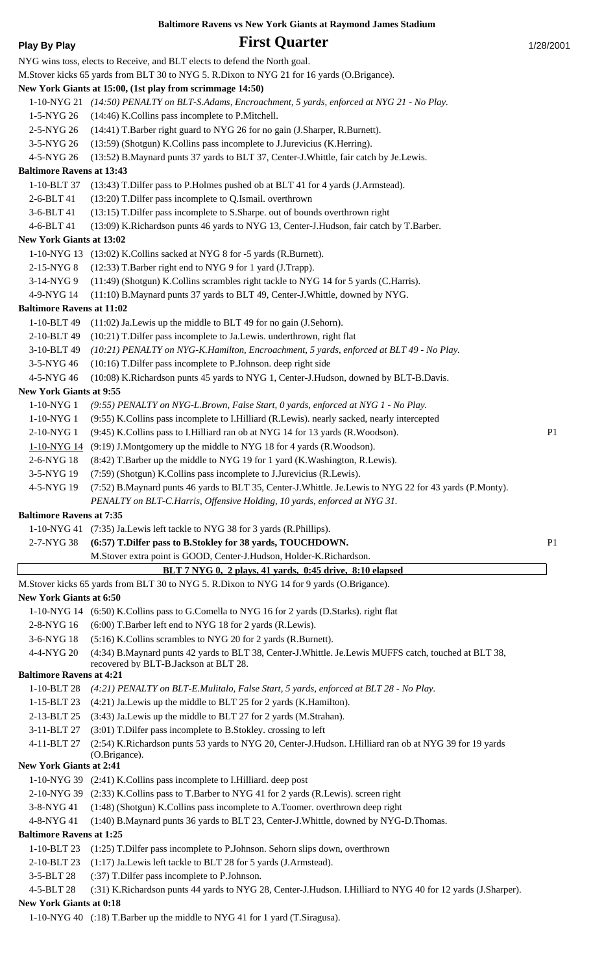| <b>Play By Play</b>                           | <b>First Quarter</b>                                                                                                                                                             | 1/28/2001      |
|-----------------------------------------------|----------------------------------------------------------------------------------------------------------------------------------------------------------------------------------|----------------|
|                                               | NYG wins toss, elects to Receive, and BLT elects to defend the North goal.                                                                                                       |                |
|                                               | M.Stover kicks 65 yards from BLT 30 to NYG 5. R.Dixon to NYG 21 for 16 yards (O.Brigance).                                                                                       |                |
|                                               | New York Giants at 15:00, (1st play from scrimmage 14:50)                                                                                                                        |                |
|                                               | 1-10-NYG 21 (14:50) PENALTY on BLT-S.Adams, Encroachment, 5 yards, enforced at NYG 21 - No Play.                                                                                 |                |
| 1-5-NYG 26                                    | (14:46) K.Collins pass incomplete to P.Mitchell.                                                                                                                                 |                |
| 2-5-NYG 26                                    | (14:41) T.Barber right guard to NYG 26 for no gain (J.Sharper, R.Burnett).                                                                                                       |                |
| 3-5-NYG 26                                    | (13:59) (Shotgun) K.Collins pass incomplete to J.Jurevicius (K.Herring).                                                                                                         |                |
| 4-5-NYG 26                                    | (13:52) B.Maynard punts 37 yards to BLT 37, Center-J.Whittle, fair catch by Je.Lewis.                                                                                            |                |
| <b>Baltimore Ravens at 13:43</b>              |                                                                                                                                                                                  |                |
| 1-10-BLT 37                                   | (13:43) T.Dilfer pass to P.Holmes pushed ob at BLT 41 for 4 yards (J.Armstead).                                                                                                  |                |
| 2-6-BLT 41                                    | (13:20) T.Dilfer pass incomplete to Q.Ismail. overthrown                                                                                                                         |                |
| 3-6-BLT 41<br>4-6-BLT 41                      | (13:15) T. Dilfer pass incomplete to S. Sharpe. out of bounds overthrown right<br>(13:09) K.Richardson punts 46 yards to NYG 13, Center-J.Hudson, fair catch by T.Barber.        |                |
| New York Giants at 13:02                      |                                                                                                                                                                                  |                |
|                                               | 1-10-NYG 13 (13:02) K.Collins sacked at NYG 8 for -5 yards (R.Burnett).                                                                                                          |                |
| 2-15-NYG 8                                    | (12:33) T.Barber right end to NYG 9 for 1 yard (J.Trapp).                                                                                                                        |                |
| 3-14-NYG 9                                    | (11:49) (Shotgun) K.Collins scrambles right tackle to NYG 14 for 5 yards (C.Harris).                                                                                             |                |
| 4-9-NYG 14                                    | (11:10) B.Maynard punts 37 yards to BLT 49, Center-J.Whittle, downed by NYG.                                                                                                     |                |
| <b>Baltimore Ravens at 11:02</b>              |                                                                                                                                                                                  |                |
| 1-10-BLT 49                                   | $(11:02)$ Ja. Lewis up the middle to BLT 49 for no gain (J. Sehorn).                                                                                                             |                |
| 2-10-BLT 49                                   | (10:21) T.Dilfer pass incomplete to Ja.Lewis. underthrown, right flat                                                                                                            |                |
| 3-10-BLT 49                                   | (10:21) PENALTY on NYG-K.Hamilton, Encroachment, 5 yards, enforced at BLT 49 - No Play.                                                                                          |                |
| 3-5-NYG 46                                    | (10:16) T.Dilfer pass incomplete to P.Johnson. deep right side                                                                                                                   |                |
| 4-5-NYG 46                                    | (10:08) K.Richardson punts 45 yards to NYG 1, Center-J.Hudson, downed by BLT-B.Davis.                                                                                            |                |
| <b>New York Giants at 9:55</b>                |                                                                                                                                                                                  |                |
| $1-10-NYG1$<br>1-10-NYG 1                     | (9:55) PENALTY on NYG-L.Brown, False Start, 0 yards, enforced at NYG 1 - No Play.<br>(9:55) K.Collins pass incomplete to I.Hilliard (R.Lewis). nearly sacked, nearly intercepted |                |
| 2-10-NYG 1                                    | (9:45) K.Collins pass to I.Hilliard ran ob at NYG 14 for 13 yards (R.Woodson).                                                                                                   | P <sub>1</sub> |
| 1-10-NYG 14                                   | (9:19) J.Montgomery up the middle to NYG 18 for 4 yards (R.Woodson).                                                                                                             |                |
| 2-6-NYG 18                                    | (8:42) T.Barber up the middle to NYG 19 for 1 yard (K.Washington, R.Lewis).                                                                                                      |                |
| 3-5-NYG 19                                    | (7:59) (Shotgun) K.Collins pass incomplete to J.Jurevicius (R.Lewis).                                                                                                            |                |
| 4-5-NYG 19                                    | (7:52) B.Maynard punts 46 yards to BLT 35, Center-J.Whittle. Je.Lewis to NYG 22 for 43 yards (P.Monty).                                                                          |                |
|                                               | PENALTY on BLT-C.Harris, Offensive Holding, 10 yards, enforced at NYG 31.                                                                                                        |                |
| <b>Baltimore Ravens at 7:35</b>               |                                                                                                                                                                                  |                |
|                                               | 1-10-NYG 41 (7:35) Ja. Lewis left tackle to NYG 38 for 3 yards (R. Phillips).                                                                                                    |                |
| 2-7-NYG 38                                    | (6:57) T.Dilfer pass to B.Stokley for 38 yards, TOUCHDOWN.                                                                                                                       | P <sub>1</sub> |
|                                               | M.Stover extra point is GOOD, Center-J.Hudson, Holder-K.Richardson.                                                                                                              |                |
|                                               | BLT 7 NYG 0, 2 plays, 41 yards, 0:45 drive, 8:10 elapsed                                                                                                                         |                |
| <b>New York Giants at 6:50</b>                | M.Stover kicks 65 yards from BLT 30 to NYG 5. R.Dixon to NYG 14 for 9 yards (O.Brigance).                                                                                        |                |
|                                               | 1-10-NYG 14 (6:50) K.Collins pass to G.Comella to NYG 16 for 2 yards (D.Starks). right flat                                                                                      |                |
| 2-8-NYG 16                                    | (6:00) T.Barber left end to NYG 18 for 2 yards (R.Lewis).                                                                                                                        |                |
| 3-6-NYG 18                                    | (5:16) K.Collins scrambles to NYG 20 for 2 yards (R.Burnett).                                                                                                                    |                |
| 4-4-NYG 20                                    | (4:34) B.Maynard punts 42 yards to BLT 38, Center-J.Whittle. Je.Lewis MUFFS catch, touched at BLT 38,                                                                            |                |
|                                               | recovered by BLT-B.Jackson at BLT 28.                                                                                                                                            |                |
| <b>Baltimore Ravens at 4:21</b>               |                                                                                                                                                                                  |                |
| 1-10-BLT 28                                   | (4:21) PENALTY on BLT-E.Mulitalo, False Start, 5 yards, enforced at BLT 28 - No Play.                                                                                            |                |
| 1-15-BLT 23<br>2-13-BLT 25                    | (4:21) Ja. Lewis up the middle to BLT 25 for 2 yards (K. Hamilton).<br>(3:43) Ja.Lewis up the middle to BLT 27 for 2 yards (M.Strahan).                                          |                |
| 3-11-BLT 27                                   | (3:01) T.Dilfer pass incomplete to B.Stokley. crossing to left                                                                                                                   |                |
| 4-11-BLT 27                                   | (2:54) K.Richardson punts 53 yards to NYG 20, Center-J.Hudson. I.Hilliard ran ob at NYG 39 for 19 yards                                                                          |                |
|                                               | (O.Brigance).                                                                                                                                                                    |                |
| <b>New York Giants at 2:41</b>                |                                                                                                                                                                                  |                |
|                                               | 1-10-NYG 39 (2:41) K.Collins pass incomplete to I.Hilliard. deep post                                                                                                            |                |
|                                               | 2-10-NYG 39 (2:33) K.Collins pass to T.Barber to NYG 41 for 2 yards (R.Lewis). screen right                                                                                      |                |
| 3-8-NYG 41                                    | (1:48) (Shotgun) K.Collins pass incomplete to A.Toomer. overthrown deep right                                                                                                    |                |
| 4-8-NYG 41<br><b>Baltimore Ravens at 1:25</b> | (1:40) B.Maynard punts 36 yards to BLT 23, Center-J.Whittle, downed by NYG-D.Thomas.                                                                                             |                |
| 1-10-BLT 23                                   | $(1:25)$ T. Dilfer pass incomplete to P. Johnson. Sehorn slips down, overthrown                                                                                                  |                |
| 2-10-BLT 23                                   | (1:17) Ja.Lewis left tackle to BLT 28 for 5 yards (J.Armstead).                                                                                                                  |                |
| 3-5-BLT 28                                    | (:37) T. Dilfer pass incomplete to P. Johnson.                                                                                                                                   |                |
| 4-5-BLT 28                                    | (:31) K.Richardson punts 44 yards to NYG 28, Center-J.Hudson. I.Hilliard to NYG 40 for 12 yards (J.Sharper).                                                                     |                |
| <b>New York Giants at 0:18</b>                |                                                                                                                                                                                  |                |

1-10-NYG 40 (:18) T.Barber up the middle to NYG 41 for 1 yard (T.Siragusa).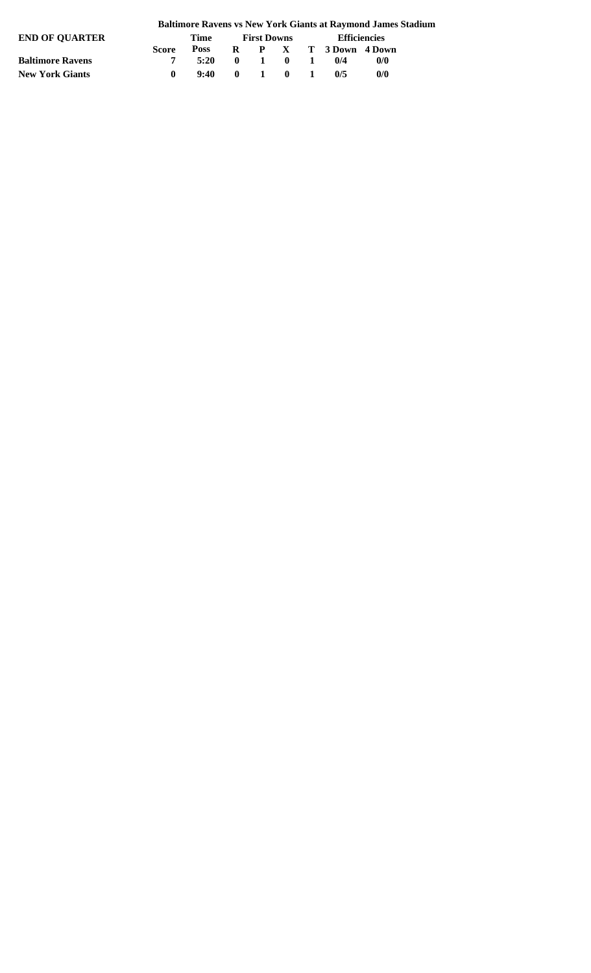| <b>END OF OUARTER</b>   |              | Time        | <b>First Downs</b> |                  |                                              | <b>Efficiencies</b> |                         |     |  |
|-------------------------|--------------|-------------|--------------------|------------------|----------------------------------------------|---------------------|-------------------------|-----|--|
|                         | <b>Score</b> | <b>Poss</b> |                    |                  |                                              |                     | R P X T 3 Down 4 Down   |     |  |
| <b>Baltimore Ravens</b> |              | 5:20        | $\mathbf{0}$       | $\blacksquare$ 1 | $\begin{array}{ccc} & & 0 & & 1 \end{array}$ |                     | $\mathbf{0}/\mathbf{4}$ | 0/0 |  |
| <b>New York Giants</b>  |              | 9:40        | $\mathbf{0}$       | $\blacksquare$   | $\mathbf{0}$ 1                               |                     | 0/5                     | 0/0 |  |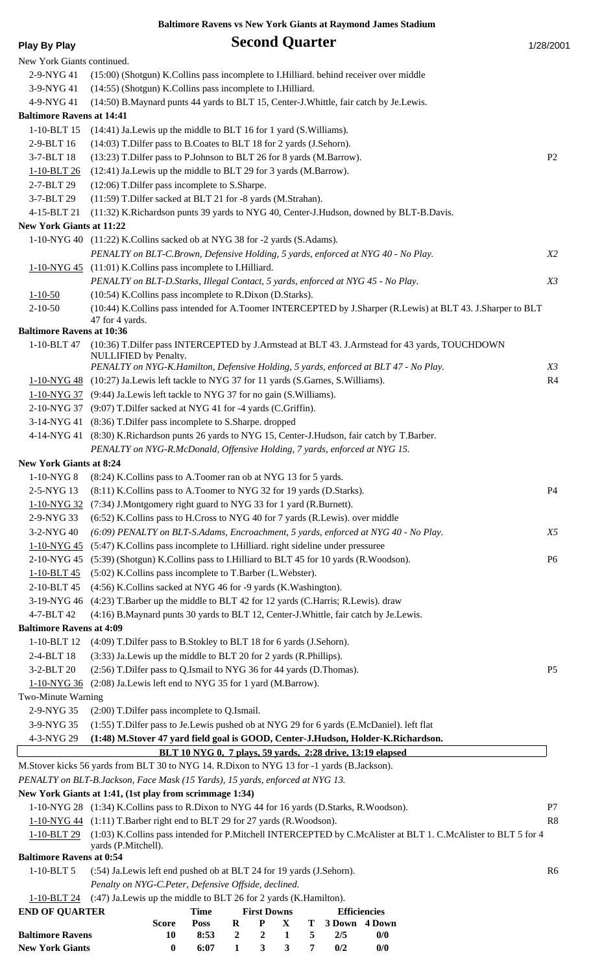| 1/28/2001 |  |
|-----------|--|

| <b>Play By Play</b>                           |                                                                                                                                                                          | <b>Second Quarter</b>                                                                        |          |                                      | 1/28/2001      |
|-----------------------------------------------|--------------------------------------------------------------------------------------------------------------------------------------------------------------------------|----------------------------------------------------------------------------------------------|----------|--------------------------------------|----------------|
| New York Giants continued.                    |                                                                                                                                                                          |                                                                                              |          |                                      |                |
| 2-9-NYG 41                                    | (15:00) (Shotgun) K.Collins pass incomplete to I.Hilliard. behind receiver over middle                                                                                   |                                                                                              |          |                                      |                |
| 3-9-NYG 41                                    | (14:55) (Shotgun) K.Collins pass incomplete to I.Hilliard.                                                                                                               |                                                                                              |          |                                      |                |
| 4-9-NYG 41                                    | (14:50) B.Maynard punts 44 yards to BLT 15, Center-J.Whittle, fair catch by Je.Lewis.                                                                                    |                                                                                              |          |                                      |                |
| <b>Baltimore Ravens at 14:41</b>              |                                                                                                                                                                          |                                                                                              |          |                                      |                |
| 1-10-BLT 15                                   | (14:41) Ja. Lewis up the middle to BLT 16 for 1 yard (S. Williams).                                                                                                      |                                                                                              |          |                                      |                |
| 2-9-BLT 16                                    | (14:03) T.Dilfer pass to B.Coates to BLT 18 for 2 yards (J.Sehorn).                                                                                                      |                                                                                              |          |                                      |                |
| 3-7-BLT 18<br>1-10-BLT 26                     | (13:23) T.Dilfer pass to P.Johnson to BLT 26 for 8 yards (M.Barrow).<br>(12:41) Ja. Lewis up the middle to BLT 29 for 3 yards (M. Barrow).                               |                                                                                              |          |                                      | P <sub>2</sub> |
| 2-7-BLT 29                                    | (12:06) T.Dilfer pass incomplete to S.Sharpe.                                                                                                                            |                                                                                              |          |                                      |                |
| 3-7-BLT 29                                    | (11:59) T.Dilfer sacked at BLT 21 for -8 yards (M.Strahan).                                                                                                              |                                                                                              |          |                                      |                |
| 4-15-BLT 21                                   | (11:32) K.Richardson punts 39 yards to NYG 40, Center-J.Hudson, downed by BLT-B.Davis.                                                                                   |                                                                                              |          |                                      |                |
| <b>New York Giants at 11:22</b>               |                                                                                                                                                                          |                                                                                              |          |                                      |                |
|                                               | 1-10-NYG 40 (11:22) K.Collins sacked ob at NYG 38 for -2 yards (S.Adams).                                                                                                |                                                                                              |          |                                      |                |
|                                               | PENALTY on BLT-C.Brown, Defensive Holding, 5 yards, enforced at NYG 40 - No Play.                                                                                        |                                                                                              |          |                                      | <i>X2</i>      |
|                                               | 1-10-NYG 45 (11:01) K. Collins pass incomplete to I. Hilliard.                                                                                                           |                                                                                              |          |                                      |                |
|                                               | PENALTY on BLT-D.Starks, Illegal Contact, 5 yards, enforced at NYG 45 - No Play.                                                                                         |                                                                                              |          |                                      | X3             |
| $1 - 10 - 50$                                 | (10:54) K.Collins pass incomplete to R.Dixon (D.Starks).                                                                                                                 |                                                                                              |          |                                      |                |
| $2 - 10 - 50$                                 | (10:44) K.Collins pass intended for A.Toomer INTERCEPTED by J.Sharper (R.Lewis) at BLT 43. J.Sharper to BLT                                                              |                                                                                              |          |                                      |                |
| <b>Baltimore Ravens at 10:36</b>              | 47 for 4 yards.                                                                                                                                                          |                                                                                              |          |                                      |                |
| 1-10-BLT 47                                   | (10:36) T.Dilfer pass INTERCEPTED by J.Armstead at BLT 43. J.Armstead for 43 yards, TOUCHDOWN                                                                            |                                                                                              |          |                                      |                |
|                                               | NULLIFIED by Penalty.                                                                                                                                                    |                                                                                              |          |                                      |                |
|                                               | PENALTY on NYG-K.Hamilton, Defensive Holding, 5 yards, enforced at BLT 47 - No Play.                                                                                     |                                                                                              |          |                                      | X3             |
|                                               | 1-10-NYG 48 (10:27) Ja.Lewis left tackle to NYG 37 for 11 yards (S.Garnes, S.Williams).                                                                                  |                                                                                              |          |                                      | R <sub>4</sub> |
|                                               | 1-10-NYG 37 (9:44) Ja. Lewis left tackle to NYG 37 for no gain (S. Williams).                                                                                            |                                                                                              |          |                                      |                |
|                                               | 2-10-NYG 37 (9:07) T.Dilfer sacked at NYG 41 for -4 yards (C.Griffin).                                                                                                   |                                                                                              |          |                                      |                |
|                                               | 3-14-NYG 41 (8:36) T. Dilfer pass incomplete to S. Sharpe. dropped<br>4-14-NYG 41 (8:30) K.Richardson punts 26 yards to NYG 15, Center-J.Hudson, fair catch by T.Barber. |                                                                                              |          |                                      |                |
|                                               | PENALTY on NYG-R.McDonald, Offensive Holding, 7 yards, enforced at NYG 15.                                                                                               |                                                                                              |          |                                      |                |
| <b>New York Giants at 8:24</b>                |                                                                                                                                                                          |                                                                                              |          |                                      |                |
| 1-10-NYG8                                     | (8.24) K. Collins pass to A. Toomer ran ob at NYG 13 for 5 yards.                                                                                                        |                                                                                              |          |                                      |                |
| 2-5-NYG 13                                    | (8:11) K.Collins pass to A.Toomer to NYG 32 for 19 yards (D.Starks).                                                                                                     |                                                                                              |          |                                      | <b>P4</b>      |
| 1-10-NYG 32                                   | (7:34) J.Montgomery right guard to NYG 33 for 1 yard (R.Burnett).                                                                                                        |                                                                                              |          |                                      |                |
| 2-9-NYG 33                                    | (6:52) K.Collins pass to H.Cross to NYG 40 for 7 yards (R.Lewis). over middle                                                                                            |                                                                                              |          |                                      |                |
| 3-2-NYG 40                                    | (6:09) PENALTY on BLT-S.Adams, Encroachment, 5 yards, enforced at NYG 40 - No Play.                                                                                      |                                                                                              |          |                                      | <i>X5</i>      |
| 1-10-NYG 45                                   | (5:47) K.Collins pass incomplete to I.Hilliard. right sideline under pressuree                                                                                           |                                                                                              |          |                                      |                |
|                                               | 2-10-NYG 45 (5:39) (Shotgun) K.Collins pass to I.Hilliard to BLT 45 for 10 yards (R.Woodson).                                                                            |                                                                                              |          |                                      | P <sub>6</sub> |
| $1 - 10 - BLT 45$                             | (5:02) K.Collins pass incomplete to T.Barber (L.Webster).                                                                                                                |                                                                                              |          |                                      |                |
| 2-10-BLT 45                                   | (4:56) K.Collins sacked at NYG 46 for -9 yards (K.Washington).                                                                                                           |                                                                                              |          |                                      |                |
| 3-19-NYG 46                                   | (4:23) T.Barber up the middle to BLT 42 for 12 yards (C.Harris; R.Lewis). draw                                                                                           |                                                                                              |          |                                      |                |
| 4-7-BLT 42<br><b>Baltimore Ravens at 4:09</b> | (4:16) B.Maynard punts 30 yards to BLT 12, Center-J.Whittle, fair catch by Je.Lewis.                                                                                     |                                                                                              |          |                                      |                |
| 1-10-BLT 12                                   | (4:09) T.Dilfer pass to B.Stokley to BLT 18 for 6 yards (J.Sehorn).                                                                                                      |                                                                                              |          |                                      |                |
| 2-4-BLT 18                                    | (3:33) Ja. Lewis up the middle to BLT 20 for 2 yards (R. Phillips).                                                                                                      |                                                                                              |          |                                      |                |
| 3-2-BLT 20                                    | (2:56) T.Dilfer pass to Q.Ismail to NYG 36 for 44 yards (D.Thomas).                                                                                                      |                                                                                              |          |                                      | P <sub>5</sub> |
| $1 - 10 - NYG$ 36                             | (2:08) Ja.Lewis left end to NYG 35 for 1 yard (M.Barrow).                                                                                                                |                                                                                              |          |                                      |                |
| Two-Minute Warning                            |                                                                                                                                                                          |                                                                                              |          |                                      |                |
| 2-9-NYG 35                                    | (2:00) T.Dilfer pass incomplete to Q.Ismail.                                                                                                                             |                                                                                              |          |                                      |                |
| 3-9-NYG 35                                    | (1:55) T.Dilfer pass to Je.Lewis pushed ob at NYG 29 for 6 yards (E.McDaniel). left flat                                                                                 |                                                                                              |          |                                      |                |
| 4-3-NYG 29                                    | (1:48) M.Stover 47 yard field goal is GOOD, Center-J.Hudson, Holder-K.Richardson.                                                                                        |                                                                                              |          |                                      |                |
|                                               |                                                                                                                                                                          | BLT 10 NYG 0, 7 plays, 59 yards, 2:28 drive, 13:19 elapsed                                   |          |                                      |                |
|                                               | M.Stover kicks 56 yards from BLT 30 to NYG 14. R.Dixon to NYG 13 for -1 yards (B.Jackson).                                                                               |                                                                                              |          |                                      |                |
|                                               | PENALTY on BLT-B.Jackson, Face Mask (15 Yards), 15 yards, enforced at NYG 13.                                                                                            |                                                                                              |          |                                      |                |
|                                               | New York Giants at 1:41, (1st play from scrimmage 1:34)                                                                                                                  |                                                                                              |          |                                      |                |
|                                               | 1-10-NYG 28 (1:34) K.Collins pass to R.Dixon to NYG 44 for 16 yards (D.Starks, R.Woodson).<br>1-10-NYG 44 (1:11) T.Barber right end to BLT 29 for 27 yards (R.Woodson).  |                                                                                              |          |                                      | P7<br>R8       |
| 1-10-BLT 29                                   | (1:03) K.Collins pass intended for P.Mitchell INTERCEPTED by C.McAlister at BLT 1. C.McAlister to BLT 5 for 4                                                            |                                                                                              |          |                                      |                |
|                                               | vards (P.Mitchell).                                                                                                                                                      |                                                                                              |          |                                      |                |
| <b>Baltimore Ravens at 0:54</b>               |                                                                                                                                                                          |                                                                                              |          |                                      |                |
| $1-10-BLT5$                                   | (:54) Ja.Lewis left end pushed ob at BLT 24 for 19 yards (J.Sehorn).                                                                                                     |                                                                                              |          |                                      | R <sub>6</sub> |
|                                               | Penalty on NYG-C.Peter, Defensive Offside, declined.                                                                                                                     |                                                                                              |          |                                      |                |
|                                               | 1-10-BLT 24 (:47) Ja. Lewis up the middle to BLT 26 for 2 yards (K. Hamilton).                                                                                           |                                                                                              |          |                                      |                |
| <b>END OF QUARTER</b>                         | <b>Score</b>                                                                                                                                                             | <b>Time</b><br><b>First Downs</b><br>${\bf P}$<br>$\mathbf{X}$<br><b>Poss</b><br>$\mathbf R$ | T        | <b>Efficiencies</b><br>3 Down 4 Down |                |
| <b>Baltimore Ravens</b>                       | 10                                                                                                                                                                       | $\overline{2}$<br>8:53<br>$\overline{2}$<br>$\mathbf{1}$                                     | 5<br>2/5 | 0/0                                  |                |

**New York Giants 0 6:07 1 3 3 7 0/2 0/0**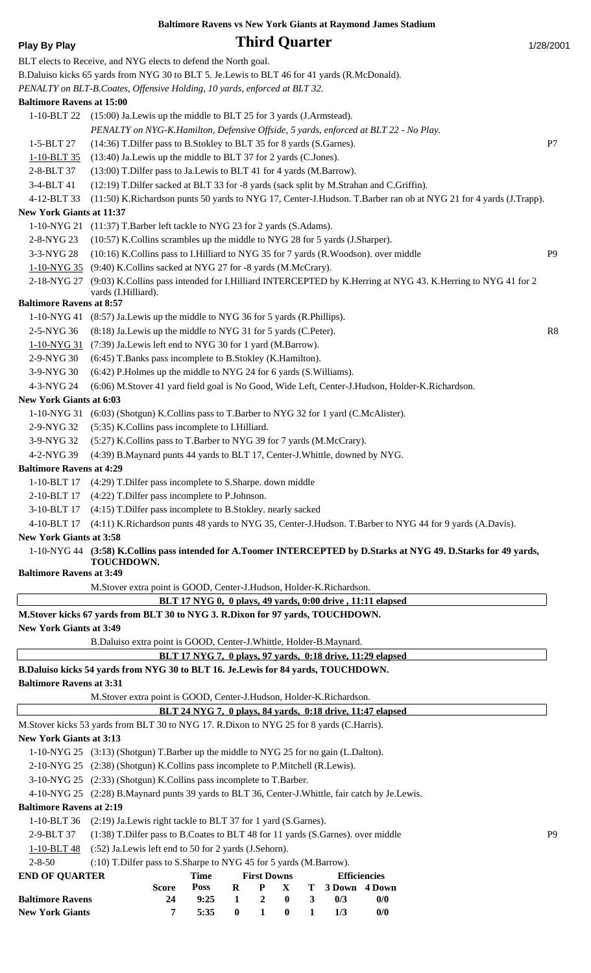## **Play By Play Play Play Play Play Play Play Play Play Play Play Play Play Play Play Play Play Play Play Play Play Play Play Play Play Play Play Play Play Play Pla**

|                                              | BLT elects to Receive, and NYG elects to defend the North goal.                                                                                                           |                |
|----------------------------------------------|---------------------------------------------------------------------------------------------------------------------------------------------------------------------------|----------------|
|                                              | B.Daluiso kicks 65 yards from NYG 30 to BLT 5. Je.Lewis to BLT 46 for 41 yards (R.McDonald).<br>PENALTY on BLT-B.Coates, Offensive Holding, 10 yards, enforced at BLT 32. |                |
| <b>Baltimore Ravens at 15:00</b>             |                                                                                                                                                                           |                |
| $1-10-BLT$ 22                                | $(15:00)$ Ja. Lewis up the middle to BLT 25 for 3 yards (J. Armstead).<br>PENALTY on NYG-K.Hamilton, Defensive Offside, 5 yards, enforced at BLT 22 - No Play.            |                |
| 1-5-BLT 27                                   | (14:36) T.Dilfer pass to B.Stokley to BLT 35 for 8 yards (S.Garnes).                                                                                                      | P7             |
| 1-10-BLT 35                                  | (13:40) Ja. Lewis up the middle to BLT 37 for 2 yards (C. Jones).                                                                                                         |                |
| 2-8-BLT 37                                   | (13:00) T.Dilfer pass to Ja.Lewis to BLT 41 for 4 yards (M.Barrow).                                                                                                       |                |
| 3-4-BLT 41                                   | (12:19) T.Dilfer sacked at BLT 33 for -8 yards (sack split by M.Strahan and C.Griffin).                                                                                   |                |
| 4-12-BLT 33                                  | (11:50) K.Richardson punts 50 yards to NYG 17, Center-J.Hudson. T.Barber ran ob at NYG 21 for 4 yards (J.Trapp).                                                          |                |
| <b>New York Giants at 11:37</b>              |                                                                                                                                                                           |                |
| 1-10-NYG 21                                  | (11:37) T.Barber left tackle to NYG 23 for 2 yards (S.Adams).                                                                                                             |                |
| 2-8-NYG 23                                   | (10:57) K.Collins scrambles up the middle to NYG 28 for 5 yards (J.Sharper).                                                                                              |                |
| 3-3-NYG 28                                   | (10:16) K.Collins pass to I.Hilliard to NYG 35 for 7 yards (R.Woodson). over middle                                                                                       | P <sub>9</sub> |
| <u>1-10-NYG 35</u>                           | (9:40) K.Collins sacked at NYG 27 for -8 yards (M.McCrary).                                                                                                               |                |
| 2-18-NYG 27                                  | (9:03) K.Collins pass intended for I.Hilliard INTERCEPTED by K.Herring at NYG 43. K.Herring to NYG 41 for 2<br>yards (I.Hilliard).                                        |                |
| <b>Baltimore Ravens at 8:57</b>              |                                                                                                                                                                           |                |
|                                              | 1-10-NYG 41 (8:57) Ja. Lewis up the middle to NYG 36 for 5 yards (R. Phillips).                                                                                           |                |
| 2-5-NYG 36                                   | (8:18) Ja. Lewis up the middle to NYG 31 for 5 yards (C. Peter).                                                                                                          | R8             |
| $1 - 10 - NYG$ 31                            | (7:39) Ja.Lewis left end to NYG 30 for 1 yard (M.Barrow).                                                                                                                 |                |
| 2-9-NYG 30                                   | (6:45) T.Banks pass incomplete to B.Stokley (K.Hamilton).                                                                                                                 |                |
| 3-9-NYG 30                                   | (6:42) P.Holmes up the middle to NYG 24 for 6 yards (S.Williams).                                                                                                         |                |
| 4-3-NYG 24<br><b>New York Giants at 6:03</b> | (6:06) M.Stover 41 yard field goal is No Good, Wide Left, Center-J.Hudson, Holder-K.Richardson.                                                                           |                |
| 1-10-NYG 31                                  | (6:03) (Shotgun) K.Collins pass to T.Barber to NYG 32 for 1 yard (C.McAlister).                                                                                           |                |
| 2-9-NYG 32                                   | (5:35) K.Collins pass incomplete to I.Hilliard.                                                                                                                           |                |
| 3-9-NYG 32                                   | (5:27) K.Collins pass to T.Barber to NYG 39 for 7 yards (M.McCrary).                                                                                                      |                |
| 4-2-NYG 39                                   | (4:39) B.Maynard punts 44 yards to BLT 17, Center-J.Whittle, downed by NYG.                                                                                               |                |
| <b>Baltimore Ravens at 4:29</b>              |                                                                                                                                                                           |                |
|                                              | 1-10-BLT 17 (4:29) T.Dilfer pass incomplete to S.Sharpe. down middle                                                                                                      |                |
|                                              | 2-10-BLT 17 (4:22) T. Dilfer pass incomplete to P. Johnson.                                                                                                               |                |
| 3-10-BLT 17                                  | (4:15) T. Dilfer pass incomplete to B. Stokley. nearly sacked                                                                                                             |                |
| 4-10-BLT 17                                  | (4:11) K.Richardson punts 48 yards to NYG 35, Center-J.Hudson. T.Barber to NYG 44 for 9 yards (A.Davis).                                                                  |                |
| <b>New York Giants at 3:58</b>               |                                                                                                                                                                           |                |
|                                              | 1-10-NYG 44 (3:58) K.Collins pass intended for A.Toomer INTERCEPTED by D.Starks at NYG 49. D.Starks for 49 yards,                                                         |                |
| <b>Baltimore Ravens at 3:49</b>              | <b>TOUCHDOWN.</b>                                                                                                                                                         |                |
|                                              | M.Stover extra point is GOOD, Center-J.Hudson, Holder-K.Richardson.                                                                                                       |                |
|                                              | BLT 17 NYG 0, 0 plays, 49 yards, 0:00 drive, 11:11 elapsed                                                                                                                |                |
|                                              | M.Stover kicks 67 yards from BLT 30 to NYG 3. R.Dixon for 97 yards, TOUCHDOWN.                                                                                            |                |
| <b>New York Giants at 3:49</b>               |                                                                                                                                                                           |                |
|                                              | B.Daluiso extra point is GOOD, Center-J.Whittle, Holder-B.Maynard.                                                                                                        |                |
|                                              | BLT 17 NYG 7, 0 plays, 97 yards, 0:18 drive, 11:29 elapsed                                                                                                                |                |
|                                              | B.Daluiso kicks 54 yards from NYG 30 to BLT 16. Je.Lewis for 84 yards, TOUCHDOWN.                                                                                         |                |
| <b>Baltimore Ravens at 3:31</b>              |                                                                                                                                                                           |                |
|                                              | M.Stover extra point is GOOD, Center-J.Hudson, Holder-K.Richardson.                                                                                                       |                |
|                                              | BLT 24 NYG 7, 0 plays, 84 yards, 0:18 drive, 11:47 elapsed                                                                                                                |                |
|                                              | M.Stover kicks 53 yards from BLT 30 to NYG 17. R.Dixon to NYG 25 for 8 yards (C.Harris).                                                                                  |                |
| <b>New York Giants at 3:13</b>               |                                                                                                                                                                           |                |
|                                              | 1-10-NYG 25 (3:13) (Shotgun) T.Barber up the middle to NYG 25 for no gain (L.Dalton).                                                                                     |                |
|                                              | 2-10-NYG 25 (2:38) (Shotgun) K.Collins pass incomplete to P.Mitchell (R.Lewis).                                                                                           |                |
|                                              | 3-10-NYG 25 (2:33) (Shotgun) K.Collins pass incomplete to T.Barber.                                                                                                       |                |
|                                              | 4-10-NYG 25 (2:28) B.Maynard punts 39 yards to BLT 36, Center-J.Whittle, fair catch by Je.Lewis.                                                                          |                |
| <b>Baltimore Ravens at 2:19</b>              |                                                                                                                                                                           |                |
| 1-10-BLT 36                                  | (2:19) Ja. Lewis right tackle to BLT 37 for 1 yard (S. Garnes).                                                                                                           |                |
| 2-9-BLT 37                                   | (1:38) T.Dilfer pass to B.Coates to BLT 48 for 11 yards (S.Garnes). over middle                                                                                           | P <sub>9</sub> |
| 1-10-BLT 48                                  | (:52) Ja.Lewis left end to 50 for 2 yards (J.Sehorn).                                                                                                                     |                |
| $2 - 8 - 50$                                 | (:10) T.Dilfer pass to S.Sharpe to NYG 45 for 5 yards (M.Barrow).                                                                                                         |                |
| <b>END OF QUARTER</b>                        | <b>First Downs</b><br><b>Time</b><br><b>Efficiencies</b><br><b>Poss</b><br>3 Down 4 Down<br><b>Score</b><br>R<br>P<br>X<br>Т                                              |                |
| <b>Baltimore Ravens</b>                      | 24<br>9:25<br>$\mathbf{1}$<br>2<br>$\bf{0}$<br>$\mathbf{3}$<br>0/3<br>0/0                                                                                                 |                |

**New York Giants 7 5:35 0 1 0 1 1/3 0/0**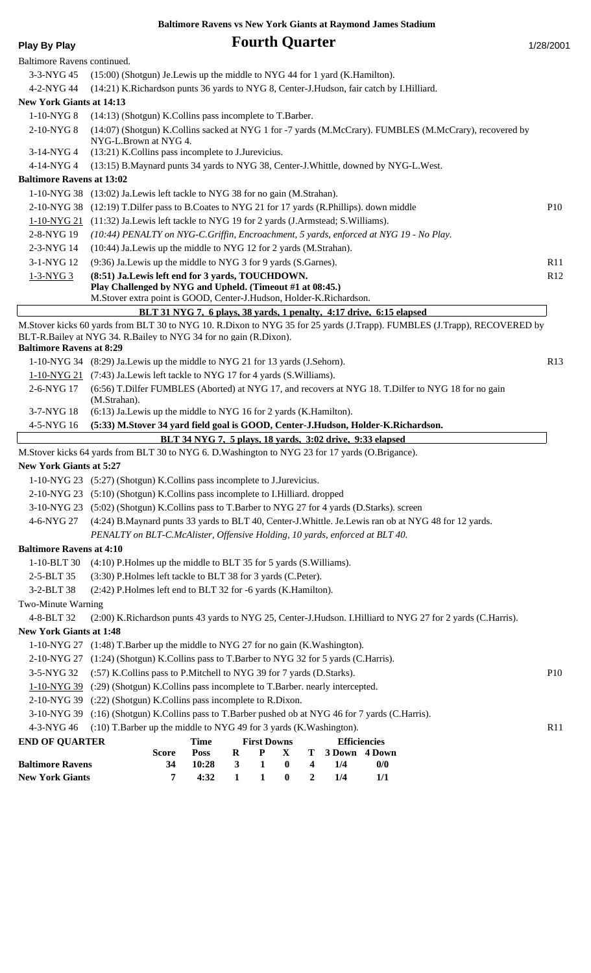|                                  | <b>Baltimore Ravens vs New York Giants at Raymond James Stadium</b>                                                                                                                                                                                                             |                 |
|----------------------------------|---------------------------------------------------------------------------------------------------------------------------------------------------------------------------------------------------------------------------------------------------------------------------------|-----------------|
| <b>Play By Play</b>              | <b>Fourth Quarter</b>                                                                                                                                                                                                                                                           | 1/28/2001       |
| Baltimore Ravens continued.      |                                                                                                                                                                                                                                                                                 |                 |
| $3-3-NYG$ 45                     | (15:00) (Shotgun) Je. Lewis up the middle to NYG 44 for 1 yard (K. Hamilton).                                                                                                                                                                                                   |                 |
| 4-2-NYG 44                       | (14:21) K.Richardson punts 36 yards to NYG 8, Center-J.Hudson, fair catch by I.Hilliard.                                                                                                                                                                                        |                 |
| <b>New York Giants at 14:13</b>  |                                                                                                                                                                                                                                                                                 |                 |
| 1-10-NYG8                        | (14:13) (Shotgun) K.Collins pass incomplete to T.Barber.                                                                                                                                                                                                                        |                 |
| 2-10-NYG 8                       | (14:07) (Shotgun) K.Collins sacked at NYG 1 for -7 yards (M.McCrary). FUMBLES (M.McCrary), recovered by<br>NYG-L.Brown at NYG 4.                                                                                                                                                |                 |
| 3-14-NYG 4                       | (13:21) K.Collins pass incomplete to J.Jurevicius.                                                                                                                                                                                                                              |                 |
| 4-14-NYG 4                       | (13:15) B.Maynard punts 34 yards to NYG 38, Center-J.Whittle, downed by NYG-L.West.                                                                                                                                                                                             |                 |
| <b>Baltimore Ravens at 13:02</b> |                                                                                                                                                                                                                                                                                 |                 |
|                                  | 1-10-NYG 38 (13:02) Ja. Lewis left tackle to NYG 38 for no gain (M. Strahan).                                                                                                                                                                                                   |                 |
| 2-10-NYG 38                      | (12:19) T. Dilfer pass to B. Coates to NYG 21 for 17 yards (R. Phillips). down middle                                                                                                                                                                                           | <b>P10</b>      |
|                                  | 1-10-NYG 21 (11:32) Ja.Lewis left tackle to NYG 19 for 2 yards (J.Armstead; S.Williams).                                                                                                                                                                                        |                 |
| 2-8-NYG 19                       | (10:44) PENALTY on NYG-C.Griffin, Encroachment, 5 yards, enforced at NYG 19 - No Play.                                                                                                                                                                                          |                 |
| 2-3-NYG 14                       | (10:44) Ja.Lewis up the middle to NYG 12 for 2 yards (M.Strahan).                                                                                                                                                                                                               |                 |
| 3-1-NYG 12                       | (9:36) Ja. Lewis up the middle to NYG 3 for 9 yards (S. Garnes).                                                                                                                                                                                                                | R11             |
| $1-3-NYG3$                       | (8:51) Ja.Lewis left end for 3 yards, TOUCHDOWN.<br>Play Challenged by NYG and Upheld. (Timeout #1 at 08:45.)<br>M.Stover extra point is GOOD, Center-J.Hudson, Holder-K.Richardson.                                                                                            | R <sub>12</sub> |
|                                  | BLT 31 NYG 7, 6 plays, 38 yards, 1 penalty, 4:17 drive, 6:15 elapsed                                                                                                                                                                                                            |                 |
| <b>Baltimore Ravens at 8:29</b>  | M.Stover kicks 60 yards from BLT 30 to NYG 10. R.Dixon to NYG 35 for 25 yards (J.Trapp). FUMBLES (J.Trapp), RECOVERED by<br>BLT-R.Bailey at NYG 34. R.Bailey to NYG 34 for no gain (R.Dixon).<br>1-10-NYG 34 (8:29) Ja. Lewis up the middle to NYG 21 for 13 yards (J. Sehorn). | R13             |
|                                  | 1-10-NYG 21 (7:43) Ja. Lewis left tackle to NYG 17 for 4 yards (S. Williams).                                                                                                                                                                                                   |                 |
| 2-6-NYG 17                       | (6:56) T.Dilfer FUMBLES (Aborted) at NYG 17, and recovers at NYG 18. T.Dilfer to NYG 18 for no gain<br>(M.Strahan).                                                                                                                                                             |                 |
| 3-7-NYG 18                       | (6:13) Ja. Lewis up the middle to NYG 16 for 2 yards (K. Hamilton).                                                                                                                                                                                                             |                 |
| 4-5-NYG 16                       | (5:33) M.Stover 34 yard field goal is GOOD, Center-J.Hudson, Holder-K.Richardson.                                                                                                                                                                                               |                 |
|                                  | BLT 34 NYG 7, 5 plays, 18 yards, 3:02 drive, 9:33 elapsed                                                                                                                                                                                                                       |                 |
|                                  | M.Stover kicks 64 yards from BLT 30 to NYG 6. D.Washington to NYG 23 for 17 yards (O.Brigance).                                                                                                                                                                                 |                 |
| New York Giants at 5:27          |                                                                                                                                                                                                                                                                                 |                 |
|                                  | 1-10-NYG 23 (5:27) (Shotgun) K.Collins pass incomplete to J.Jurevicius.                                                                                                                                                                                                         |                 |
|                                  | 2-10-NYG 23 (5:10) (Shotgun) K.Collins pass incomplete to I.Hilliard. dropped                                                                                                                                                                                                   |                 |
|                                  | 3-10-NYG 23 (5:02) (Shotgun) K.Collins pass to T.Barber to NYG 27 for 4 yards (D.Starks). screen                                                                                                                                                                                |                 |
| 4-6-NYG 27                       | (4:24) B.Maynard punts 33 yards to BLT 40, Center-J.Whittle. Je.Lewis ran ob at NYG 48 for 12 yards.                                                                                                                                                                            |                 |
|                                  | PENALTY on BLT-C.McAlister, Offensive Holding, 10 yards, enforced at BLT 40.                                                                                                                                                                                                    |                 |
| <b>Baltimore Ravens at 4:10</b>  |                                                                                                                                                                                                                                                                                 |                 |
| 1-10-BLT 30                      | (4:10) P.Holmes up the middle to BLT 35 for 5 yards (S.Williams).                                                                                                                                                                                                               |                 |
| 2-5-BLT 35                       | (3:30) P.Holmes left tackle to BLT 38 for 3 yards (C.Peter).                                                                                                                                                                                                                    |                 |
| 3-2-BLT 38                       | (2:42) P.Holmes left end to BLT 32 for -6 yards (K.Hamilton).                                                                                                                                                                                                                   |                 |
| Two-Minute Warning               |                                                                                                                                                                                                                                                                                 |                 |
| 4-8-BLT 32                       | (2:00) K.Richardson punts 43 yards to NYG 25, Center-J.Hudson. I.Hilliard to NYG 27 for 2 yards (C.Harris).                                                                                                                                                                     |                 |
| <b>New York Giants at 1:48</b>   |                                                                                                                                                                                                                                                                                 |                 |
|                                  | 1-10-NYG 27 (1:48) T.Barber up the middle to NYG 27 for no gain (K.Washington).                                                                                                                                                                                                 |                 |
| 2-10-NYG 27                      | (1:24) (Shotgun) K.Collins pass to T.Barber to NYG 32 for 5 yards (C.Harris).                                                                                                                                                                                                   |                 |
| 3-5-NYG 32                       | (:57) K.Collins pass to P.Mitchell to NYG 39 for 7 yards (D.Starks).                                                                                                                                                                                                            | <b>P10</b>      |
| $1-10-NYG 39$                    | (:29) (Shotgun) K.Collins pass incomplete to T.Barber. nearly intercepted.                                                                                                                                                                                                      |                 |
|                                  | 2-10-NYG 39 (:22) (Shotgun) K.Collins pass incomplete to R.Dixon.                                                                                                                                                                                                               |                 |
| 3-10-NYG 39                      | (:16) (Shotgun) K.Collins pass to T.Barber pushed ob at NYG 46 for 7 yards (C.Harris).                                                                                                                                                                                          |                 |
| 4-3-NYG 46                       | (:10) T.Barber up the middle to NYG 49 for 3 yards (K.Washington).                                                                                                                                                                                                              | R11             |
| <b>END OF QUARTER</b>            | <b>Time</b><br><b>First Downs</b><br><b>Efficiencies</b>                                                                                                                                                                                                                        |                 |
| <b>Baltimore Ravens</b>          | <b>Poss</b><br>${\bf P}$<br>$\bf R$<br>X<br>T<br>3 Down 4 Down<br><b>Score</b><br>$\pmb{0}$<br>34<br>10:28<br>$\mathbf{3}$<br>$\mathbf{1}$<br>$\overline{\mathbf{4}}$<br>1/4<br>0/0                                                                                             |                 |

**New York Giants 7 4:32 1 1 0 2 1/4 1/1**